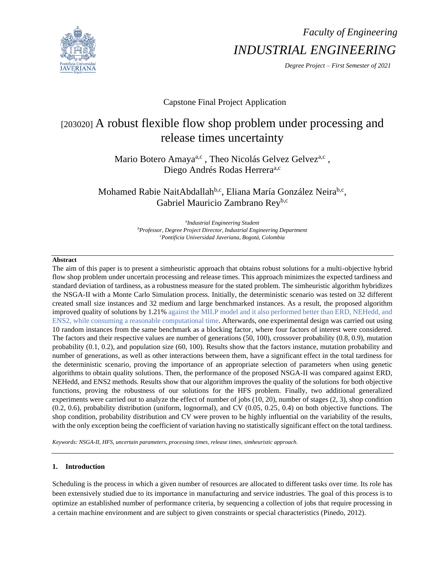

# *Faculty of Engineering INDUSTRIAL ENGINEERING*

*Degree Project – First Semester of 2021*

## Capstone Final Project Application

## [203020] A robust flexible flow shop problem under processing and release times uncertainty

Mario Botero Amaya<sup>a,c</sup>, Theo Nicolás Gelvez Gelvez<sup>a,c</sup>, Diego Andrés Rodas Herrera<sup>a,c</sup>

Mohamed Rabie NaitAbdallah<sup>b,c</sup>, Eliana María González Neira<sup>b,c</sup>, Gabriel Mauricio Zambrano Reyb,c

> *a Industrial Engineering Student <sup>b</sup>Professor, Degree Project Director, Industrial Engineering Department <sup>c</sup>Pontificia Universidad Javeriana, Bogotá, Colombia*

## **Abstract**

The aim of this paper is to present a simheuristic approach that obtains robust solutions for a multi-objective hybrid flow shop problem under uncertain processing and release times. This approach minimizes the expected tardiness and standard deviation of tardiness, as a robustness measure for the stated problem. The simheuristic algorithm hybridizes the NSGA-II with a Monte Carlo Simulation process. Initially, the deterministic scenario was tested on 32 different created small size instances and 32 medium and large benchmarked instances. As a result, the proposed algorithm improved quality of solutions by 1.21% against the MILP model and it also performed better than ERD, NEHedd, and ENS2, while consuming a reasonable computational time. Afterwards, one experimental design was carried out using 10 random instances from the same benchmark as a blocking factor, where four factors of interest were considered. The factors and their respective values are number of generations (50, 100), crossover probability (0.8, 0.9), mutation probability (0.1, 0.2), and population size (60, 100). Results show that the factors instance, mutation probability and number of generations, as well as other interactions between them, have a significant effect in the total tardiness for the deterministic scenario, proving the importance of an appropriate selection of parameters when using genetic algorithms to obtain quality solutions. Then, the performance of the proposed NSGA-II was compared against ERD, NEHedd, and ENS2 methods. Results show that our algorithm improves the quality of the solutions for both objective functions, proving the robustness of our solutions for the HFS problem. Finally, two additional generalized experiments were carried out to analyze the effect of number of jobs (10, 20), number of stages (2, 3), shop condition (0.2, 0.6), probability distribution (uniform, lognormal), and CV (0.05, 0.25, 0.4) on both objective functions. The shop condition, probability distribution and CV were proven to be highly influential on the variability of the results, with the only exception being the coefficient of variation having no statistically significant effect on the total tardiness.

*Keywords: NSGA-II, HFS, uncertain parameters, processing times, release times, simheuristic approach.*

## **1. Introduction**

Scheduling is the process in which a given number of resources are allocated to different tasks over time. Its role has been extensively studied due to its importance in manufacturing and service industries. The goal of this process is to optimize an established number of performance criteria, by sequencing a collection of jobs that require processing in a certain machine environment and are subject to given constraints or special characteristics (Pinedo, 2012).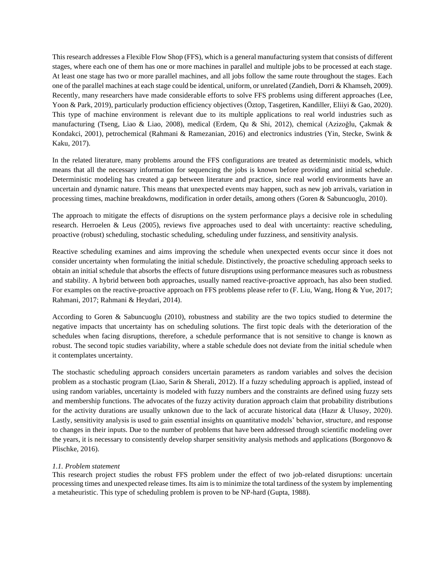This research addresses a Flexible Flow Shop (FFS), which is a general manufacturing system that consists of different stages, where each one of them has one or more machines in parallel and multiple jobs to be processed at each stage. At least one stage has two or more parallel machines, and all jobs follow the same route throughout the stages. Each one of the parallel machines at each stage could be identical, uniform, or unrelated (Zandieh, Dorri & Khamseh, 2009). Recently, many researchers have made considerable efforts to solve FFS problems using different approaches (Lee, Yoon & Park, 2019), particularly production efficiency objectives (Öztop, Tasgetiren, Kandiller, Eliiyi & Gao, 2020). This type of machine environment is relevant due to its multiple applications to real world industries such as manufacturing (Tseng, Liao & Liao, 2008), medical (Erdem, Qu & Shi, 2012), chemical (Azizoğlu, Çakmak & Kondakci, 2001), petrochemical (Rahmani & Ramezanian, 2016) and electronics industries (Yin, Stecke, Swink & Kaku, 2017).

In the related literature, many problems around the FFS configurations are treated as deterministic models, which means that all the necessary information for sequencing the jobs is known before providing and initial schedule. Deterministic modeling has created a gap between literature and practice, since real world environments have an uncertain and dynamic nature. This means that unexpected events may happen, such as new job arrivals, variation in processing times, machine breakdowns, modification in order details, among others (Goren & Sabuncuoglu, 2010).

The approach to mitigate the effects of disruptions on the system performance plays a decisive role in scheduling research. Herroelen & Leus (2005), reviews five approaches used to deal with uncertainty: reactive scheduling, proactive (robust) scheduling, stochastic scheduling, scheduling under fuzziness, and sensitivity analysis.

Reactive scheduling examines and aims improving the schedule when unexpected events occur since it does not consider uncertainty when formulating the initial schedule. Distinctively, the proactive scheduling approach seeks to obtain an initial schedule that absorbs the effects of future disruptions using performance measures such as robustness and stability. A hybrid between both approaches, usually named reactive-proactive approach, has also been studied. For examples on the reactive-proactive approach on FFS problems please refer to (F. Liu, Wang, Hong & Yue, 2017; Rahmani, 2017; Rahmani & Heydari, 2014).

According to Goren & Sabuncuoglu (2010), robustness and stability are the two topics studied to determine the negative impacts that uncertainty has on scheduling solutions. The first topic deals with the deterioration of the schedules when facing disruptions, therefore, a schedule performance that is not sensitive to change is known as robust. The second topic studies variability, where a stable schedule does not deviate from the initial schedule when it contemplates uncertainty.

The stochastic scheduling approach considers uncertain parameters as random variables and solves the decision problem as a stochastic program (Liao, Sarin & Sherali, 2012). If a fuzzy scheduling approach is applied, instead of using random variables, uncertainty is modeled with fuzzy numbers and the constraints are defined using fuzzy sets and membership functions. The advocates of the fuzzy activity duration approach claim that probability distributions for the activity durations are usually unknown due to the lack of accurate historical data (Hazır & Ulusoy, 2020). Lastly, sensitivity analysis is used to gain essential insights on quantitative models' behavior, structure, and response to changes in their inputs. Due to the number of problems that have been addressed through scientific modeling over the years, it is necessary to consistently develop sharper sensitivity analysis methods and applications (Borgonovo  $\&$ Plischke, 2016).

## *1.1. Problem statement*

This research project studies the robust FFS problem under the effect of two job-related disruptions: uncertain processing times and unexpected release times. Its aim is to minimize the total tardiness of the system by implementing a metaheuristic. This type of scheduling problem is proven to be NP-hard (Gupta, 1988).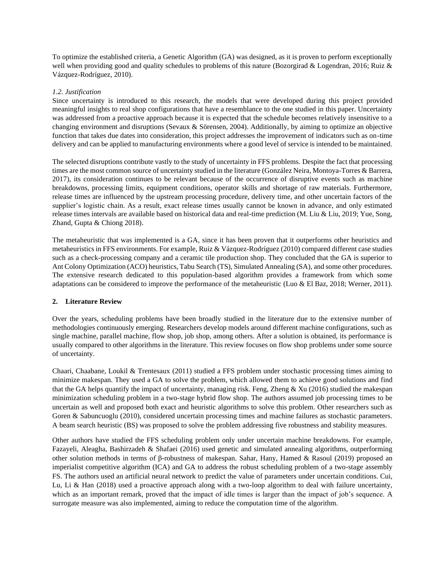To optimize the established criteria, a Genetic Algorithm (GA) was designed, as it is proven to perform exceptionally well when providing good and quality schedules to problems of this nature (Bozorgirad & Logendran, 2016; Ruiz & Vázquez-Rodríguez, 2010).

## *1.2. Justification*

Since uncertainty is introduced to this research, the models that were developed during this project provided meaningful insights to real shop configurations that have a resemblance to the one studied in this paper. Uncertainty was addressed from a proactive approach because it is expected that the schedule becomes relatively insensitive to a changing environment and disruptions (Sevaux & Sörensen, 2004). Additionally, by aiming to optimize an objective function that takes due dates into consideration, this project addresses the improvement of indicators such as on-time delivery and can be applied to manufacturing environments where a good level of service is intended to be maintained.

The selected disruptions contribute vastly to the study of uncertainty in FFS problems. Despite the fact that processing times are the most common source of uncertainty studied in the literature (González Neira, Montoya-Torres & Barrera, 2017), its consideration continues to be relevant because of the occurrence of disruptive events such as machine breakdowns, processing limits, equipment conditions, operator skills and shortage of raw materials. Furthermore, release times are influenced by the upstream processing procedure, delivery time, and other uncertain factors of the supplier's logistic chain. As a result, exact release times usually cannot be known in advance, and only estimated release times intervals are available based on historical data and real-time prediction (M. Liu & Liu, 2019; Yue, Song, Zhand, Gupta & Chiong 2018).

The metaheuristic that was implemented is a GA, since it has been proven that it outperforms other heuristics and metaheuristics in FFS environments. For example, Ruiz & Vázquez-Rodríguez (2010) compared different case studies such as a check-processing company and a ceramic tile production shop. They concluded that the GA is superior to Ant Colony Optimization (ACO) heuristics, Tabu Search (TS), Simulated Annealing (SA), and some other procedures. The extensive research dedicated to this population-based algorithm provides a framework from which some adaptations can be considered to improve the performance of the metaheuristic (Luo & El Baz, 2018; Werner, 2011).

## **2. Literature Review**

Over the years, scheduling problems have been broadly studied in the literature due to the extensive number of methodologies continuously emerging. Researchers develop models around different machine configurations, such as single machine, parallel machine, flow shop, job shop, among others. After a solution is obtained, its performance is usually compared to other algorithms in the literature. This review focuses on flow shop problems under some source of uncertainty.

Chaari, Chaabane, Loukil & Trentesaux (2011) studied a FFS problem under stochastic processing times aiming to minimize makespan. They used a GA to solve the problem, which allowed them to achieve good solutions and find that the GA helps quantify the impact of uncertainty, managing risk. Feng, Zheng  $& \text{Xu}$  (2016) studied the makespan minimization scheduling problem in a two-stage hybrid flow shop. The authors assumed job processing times to be uncertain as well and proposed both exact and heuristic algorithms to solve this problem. Other researchers such as Goren & Sabuncuoglu (2010), considered uncertain processing times and machine failures as stochastic parameters. A beam search heuristic (BS) was proposed to solve the problem addressing five robustness and stability measures.

Other authors have studied the FFS scheduling problem only under uncertain machine breakdowns. For example, Fazayeli, Aleagha, Bashirzadeh & Shafaei (2016) used genetic and simulated annealing algorithms, outperforming other solution methods in terms of β-robustness of makespan. Sahar, Hany, Hamed & Rasoul (2019) proposed an imperialist competitive algorithm (ICA) and GA to address the robust scheduling problem of a two-stage assembly FS. The authors used an artificial neural network to predict the value of parameters under uncertain conditions. Cui, Lu, Li & Han (2018) used a proactive approach along with a two-loop algorithm to deal with failure uncertainty, which as an important remark, proved that the impact of idle times is larger than the impact of job's sequence. A surrogate measure was also implemented, aiming to reduce the computation time of the algorithm.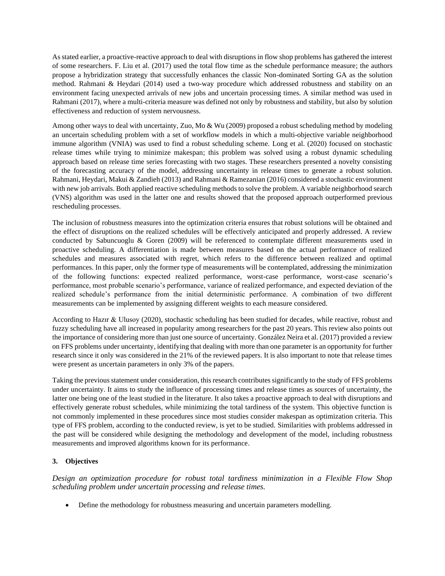As stated earlier, a proactive-reactive approach to deal with disruptions in flow shop problems has gathered the interest of some researchers. F. Liu et al. (2017) used the total flow time as the schedule performance measure; the authors propose a hybridization strategy that successfully enhances the classic Non-dominated Sorting GA as the solution method. Rahmani & Heydari (2014) used a two-way procedure which addressed robustness and stability on an environment facing unexpected arrivals of new jobs and uncertain processing times. A similar method was used in Rahmani (2017), where a multi-criteria measure was defined not only by robustness and stability, but also by solution effectiveness and reduction of system nervousness.

Among other ways to deal with uncertainty, Zuo, Mo & Wu (2009) proposed a robust scheduling method by modeling an uncertain scheduling problem with a set of workflow models in which a multi-objective variable neighborhood immune algorithm (VNIA) was used to find a robust scheduling scheme. Long et al. (2020) focused on stochastic release times while trying to minimize makespan; this problem was solved using a robust dynamic scheduling approach based on release time series forecasting with two stages. These researchers presented a novelty consisting of the forecasting accuracy of the model, addressing uncertainty in release times to generate a robust solution. Rahmani, Heydari, Makui & Zandieh (2013) and Rahmani & Ramezanian (2016) considered a stochastic environment with new job arrivals. Both applied reactive scheduling methods to solve the problem. A variable neighborhood search (VNS) algorithm was used in the latter one and results showed that the proposed approach outperformed previous rescheduling processes.

The inclusion of robustness measures into the optimization criteria ensures that robust solutions will be obtained and the effect of disruptions on the realized schedules will be effectively anticipated and properly addressed. A review conducted by Sabuncuoglu & Goren (2009) will be referenced to contemplate different measurements used in proactive scheduling. A differentiation is made between measures based on the actual performance of realized schedules and measures associated with regret, which refers to the difference between realized and optimal performances. In this paper, only the former type of measurements will be contemplated, addressing the minimization of the following functions: expected realized performance, worst-case performance, worst-case scenario's performance, most probable scenario's performance, variance of realized performance, and expected deviation of the realized schedule's performance from the initial deterministic performance. A combination of two different measurements can be implemented by assigning different weights to each measure considered.

According to Hazır & Ulusoy (2020), stochastic scheduling has been studied for decades, while reactive, robust and fuzzy scheduling have all increased in popularity among researchers for the past 20 years. This review also points out the importance of considering more than just one source of uncertainty. González Neira et al. (2017) provided a review on FFS problems under uncertainty, identifying that dealing with more than one parameter is an opportunity for further research since it only was considered in the 21% of the reviewed papers. It is also important to note that release times were present as uncertain parameters in only 3% of the papers.

Taking the previous statement under consideration, this research contributes significantly to the study of FFS problems under uncertainty. It aims to study the influence of processing times and release times as sources of uncertainty, the latter one being one of the least studied in the literature. It also takes a proactive approach to deal with disruptions and effectively generate robust schedules, while minimizing the total tardiness of the system. This objective function is not commonly implemented in these procedures since most studies consider makespan as optimization criteria. This type of FFS problem, according to the conducted review, is yet to be studied. Similarities with problems addressed in the past will be considered while designing the methodology and development of the model, including robustness measurements and improved algorithms known for its performance.

## **3. Objectives**

*Design an optimization procedure for robust total tardiness minimization in a Flexible Flow Shop scheduling problem under uncertain processing and release times.*

• Define the methodology for robustness measuring and uncertain parameters modelling.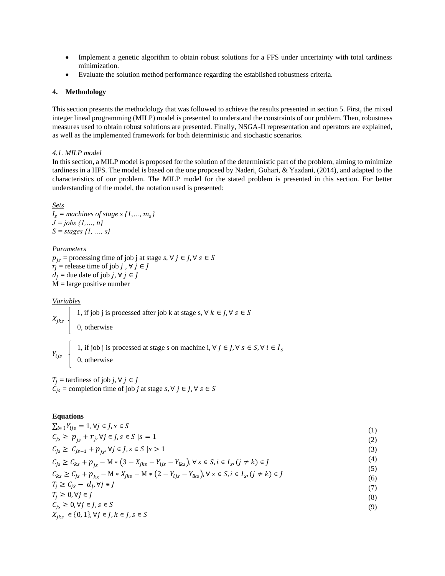- Implement a genetic algorithm to obtain robust solutions for a FFS under uncertainty with total tardiness minimization.
- Evaluate the solution method performance regarding the established robustness criteria.

#### **4. Methodology**

This section presents the methodology that was followed to achieve the results presented in section 5. First, the mixed integer lineal programming (MILP) model is presented to understand the constraints of our problem. Then, robustness measures used to obtain robust solutions are presented. Finally, NSGA-II representation and operators are explained, as well as the implemented framework for both deterministic and stochastic scenarios.

#### *4.1. MILP model*

In this section, a MILP model is proposed for the solution of the deterministic part of the problem, aiming to minimize tardiness in a HFS. The model is based on the one proposed by Naderi, Gohari, & Yazdani, (2014), and adapted to the characteristics of our problem. The MILP model for the stated problem is presented in this section. For better understanding of the model, the notation used is presented:

#### *Sets*

 *= machines of stage s {1,…, } J = jobs {1,…, n} S = stages {1, …, s}*

#### *Parameters*

 $p_{is}$  = processing time of job j at stage *s*,  $\forall j \in J, \forall s \in S$  $r_i$  = release time of job *j*,  $\forall$  *j*  $\in$  *J*  $d_i$  = due date of job *j*,  $\forall j \in J$  $M = \text{large positive number}$ 

*Variables*

 $X_{jks}$  $Y_{ijs}$  1, if job j is processed at stage s on machine i,  $\forall j \in J, \forall s \in S, \forall i \in I_s$ 1, if job j is processed after job k at stage s,  $\forall k \in J$ ,  $\forall s \in S$ 0, otherwise

0, otherwise

 $T_j$  = tardiness of job *j*,  $\forall j \in J$  $C_{js}$  = completion time of job *j* at stage  $s, \forall j \in J, \forall s \in S$ 

## **Equations**

 $\sum_{i \in I} Y_{ijs} = 1, \forall j \in J, s \in S$  $C_{js} \ge p_{js} + r_j, \forall j \in J, s \in S \mid s = 1$  $C_{js} \ge C_{js-1} + p_{is}, \forall j \in J, s \in S \; | s > 1$  $C_{js} \geq C_{ks} + p_{js} - M * (3 - X_{jks} - Y_{ijs} - Y_{iks}), \forall s \in S, i \in I_s, (j \neq k) \in J$  $C_{ks} \ge C_{js} + p_{ks} - M * X_{jks} - M * (2 - Y_{ijs} - Y_{iks}), \forall s \in S, i \in I_s, (j \ne k) \in J$  $T_j \geq C_{js} - d_j, \forall j \in J$  $T_i \geq 0, \forall j \in J$  $C_{iS} \geq 0, \forall j \in J, s \in S$  $X_{jks}\ \in \{0,1\}, \forall j\in J, k\in J, s\in S$ (1) (2) (3) (4) (5) (6) (7) (8) (9)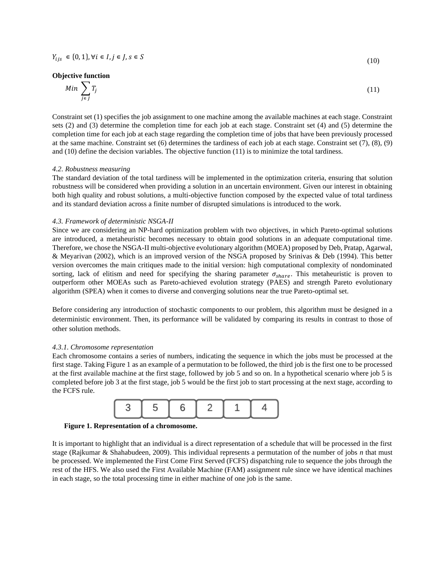## **Objective function**

$$
Min \sum_{j \in J} T_j \tag{11}
$$

(10)

Constraint set (1) specifies the job assignment to one machine among the available machines at each stage. Constraint sets (2) and (3) determine the completion time for each job at each stage. Constraint set (4) and (5) determine the completion time for each job at each stage regarding the completion time of jobs that have been previously processed at the same machine. Constraint set (6) determines the tardiness of each job at each stage. Constraint set (7), (8), (9) and (10) define the decision variables. The objective function (11) is to minimize the total tardiness.

#### *4.2. Robustness measuring*

The standard deviation of the total tardiness will be implemented in the optimization criteria, ensuring that solution robustness will be considered when providing a solution in an uncertain environment. Given our interest in obtaining both high quality and robust solutions, a multi-objective function composed by the expected value of total tardiness and its standard deviation across a finite number of disrupted simulations is introduced to the work.

#### *4.3. Framework of deterministic NSGA-II*

Since we are considering an NP-hard optimization problem with two objectives, in which Pareto-optimal solutions are introduced, a metaheuristic becomes necessary to obtain good solutions in an adequate computational time. Therefore, we chose the NSGA-II multi-objective evolutionary algorithm (MOEA) proposed by Deb, Pratap, Agarwal, & Meyarivan (2002), which is an improved version of the NSGA proposed by Srinivas & Deb (1994). This better version overcomes the main critiques made to the initial version: high computational complexity of nondominated sorting, lack of elitism and need for specifying the sharing parameter  $\sigma_{share}$ . This metaheuristic is proven to outperform other MOEAs such as Pareto-achieved evolution strategy (PAES) and strength Pareto evolutionary algorithm (SPEA) when it comes to diverse and converging solutions near the true Pareto-optimal set.

Before considering any introduction of stochastic components to our problem, this algorithm must be designed in a deterministic environment. Then, its performance will be validated by comparing its results in contrast to those of other solution methods.

#### *4.3.1. Chromosome representation*

Each chromosome contains a series of numbers, indicating the sequence in which the jobs must be processed at the first stage. Taking Figure 1 as an example of a permutation to be followed, the third job is the first one to be processed at the first available machine at the first stage, followed by job 5 and so on. In a hypothetical scenario where job 5 is completed before job 3 at the first stage, job 5 would be the first job to start processing at the next stage, according to the FCFS rule.



**Figure 1. Representation of a chromosome.**

It is important to highlight that an individual is a direct representation of a schedule that will be processed in the first stage (Rajkumar & Shahabudeen, 2009). This individual represents a permutation of the number of jobs *n* that must be processed. We implemented the First Come First Served (FCFS) dispatching rule to sequence the jobs through the rest of the HFS. We also used the First Available Machine (FAM) assignment rule since we have identical machines in each stage, so the total processing time in either machine of one job is the same.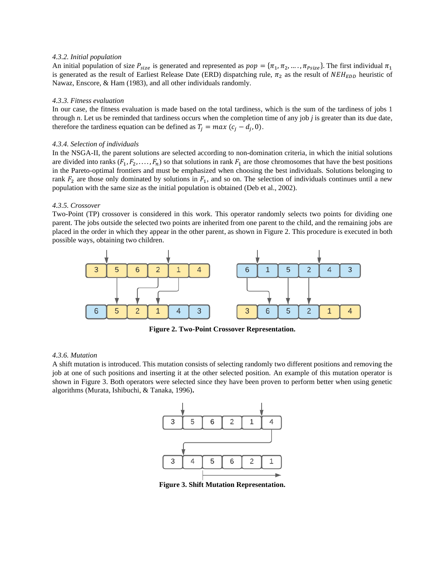## *4.3.2. Initial population*

An initial population of size  $P_{size}$  is generated and represented as  $pop = \{\pi_1, \pi_2, \dots, \pi_{Psize}\}\.$  The first individual  $\pi_1$ is generated as the result of Earliest Release Date (ERD) dispatching rule,  $\pi_2$  as the result of  $NEH_{EDD}$  heuristic of Nawaz, Enscore, & Ham (1983), and all other individuals randomly.

## *4.3.3. Fitness evaluation*

In our case, the fitness evaluation is made based on the total tardiness, which is the sum of the tardiness of jobs 1 through *n*. Let us be reminded that tardiness occurs when the completion time of any job *j* is greater than its due date, therefore the tardiness equation can be defined as  $T_j = max (c_j - d_j, 0)$ .

## *4.3.4. Selection of individuals*

In the NSGA-II, the parent solutions are selected according to non-domination criteria, in which the initial solutions are divided into ranks  $(F_1, F_2, \ldots, F_n)$  so that solutions in rank  $F_1$  are those chromosomes that have the best positions in the Pareto-optimal frontiers and must be emphasized when choosing the best individuals. Solutions belonging to rank  $F_2$  are those only dominated by solutions in  $F_1$ , and so on. The selection of individuals continues until a new population with the same size as the initial population is obtained (Deb et al., 2002).

## *4.3.5. Crossover*

Two-Point (TP) crossover is considered in this work. This operator randomly selects two points for dividing one parent. The jobs outside the selected two points are inherited from one parent to the child, and the remaining jobs are placed in the order in which they appear in the other parent, as shown in Figure 2. This procedure is executed in both possible ways, obtaining two children.



**Figure 2. Two-Point Crossover Representation.**

## *4.3.6. Mutation*

A shift mutation is introduced. This mutation consists of selecting randomly two different positions and removing the job at one of such positions and inserting it at the other selected position. An example of this mutation operator is shown in Figure 3. Both operators were selected since they have been proven to perform better when using genetic algorithms (Murata, Ishibuchi, & Tanaka, 1996)**.**



**Figure 3. Shift Mutation Representation.**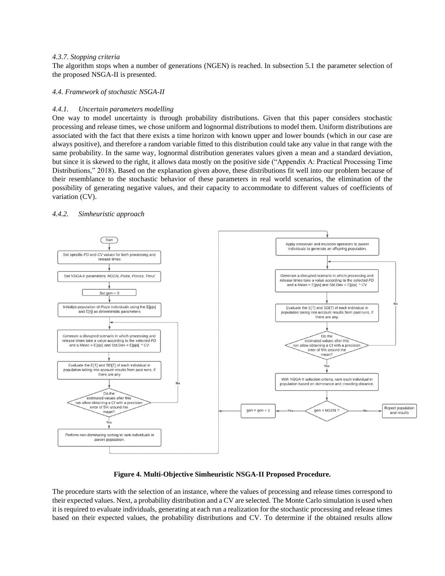## *4.3.7. Stopping criteria*

The algorithm stops when a number of generations (NGEN) is reached. In subsection 5.1 the parameter selection of the proposed NSGA-II is presented.

*4.4. Framework of stochastic NSGA-II*

## *4.4.1. Uncertain parameters modelling*

One way to model uncertainty is through probability distributions. Given that this paper considers stochastic processing and release times, we chose uniform and lognormal distributions to model them. Uniform distributions are associated with the fact that there exists a time horizon with known upper and lower bounds (which in our case are always positive), and therefore a random variable fitted to this distribution could take any value in that range with the same probability. In the same way, lognormal distribution generates values given a mean and a standard deviation, but since it is skewed to the right, it allows data mostly on the positive side ("Appendix A: Practical Processing Time Distributions," 2018). Based on the explanation given above, these distributions fit well into our problem because of their resemblance to the stochastic behavior of these parameters in real world scenarios, the elimination of the possibility of generating negative values, and their capacity to accommodate to different values of coefficients of variation (CV).

## *4.4.2. Simheuristic approach*



## **Figure 4. Multi-Objective Simheuristic NSGA-II Proposed Procedure.**

The procedure starts with the selection of an instance, where the values of processing and release times correspond to their expected values. Next, a probability distribution and a CV are selected. The Monte Carlo simulation is used when it is required to evaluate individuals, generating at each run a realization for the stochastic processing and release times based on their expected values, the probability distributions and CV. To determine if the obtained results allow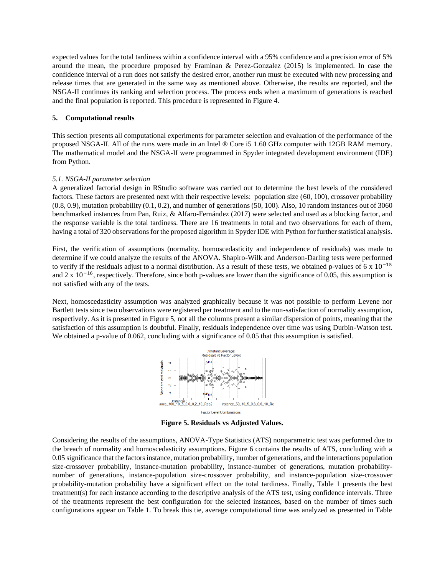expected values for the total tardiness within a confidence interval with a 95% confidence and a precision error of 5% around the mean, the procedure proposed by Framinan & Perez-Gonzalez (2015) is implemented. In case the confidence interval of a run does not satisfy the desired error, another run must be executed with new processing and release times that are generated in the same way as mentioned above. Otherwise, the results are reported, and the NSGA-II continues its ranking and selection process. The process ends when a maximum of generations is reached and the final population is reported. This procedure is represented in Figure 4.

## **5. Computational results**

This section presents all computational experiments for parameter selection and evaluation of the performance of the proposed NSGA-II. All of the runs were made in an Intel ® Core i5 1.60 GHz computer with 12GB RAM memory. The mathematical model and the NSGA-II were programmed in Spyder integrated development environment (IDE) from Python.

## *5.1. NSGA-II parameter selection*

A generalized factorial design in RStudio software was carried out to determine the best levels of the considered factors. These factors are presented next with their respective levels: population size (60, 100), crossover probability  $(0.8, 0.9)$ , mutation probability  $(0.1, 0.2)$ , and number of generations  $(50, 100)$ . Also, 10 random instances out of 3060 benchmarked instances from Pan, Ruiz, & Alfaro-Fernández (2017) were selected and used as a blocking factor, and the response variable is the total tardiness. There are 16 treatments in total and two observations for each of them, having a total of 320 observations for the proposed algorithm in Spyder IDE with Python for further statistical analysis.

First, the verification of assumptions (normality, homoscedasticity and independence of residuals) was made to determine if we could analyze the results of the ANOVA. Shapiro-Wilk and Anderson-Darling tests were performed to verify if the residuals adjust to a normal distribution. As a result of these tests, we obtained p-values of 6 x  $10^{-15}$ and 2 x  $10<sup>-16</sup>$ , respectively. Therefore, since both p-values are lower than the significance of 0.05, this assumption is not satisfied with any of the tests.

Next, homoscedasticity assumption was analyzed graphically because it was not possible to perform Levene nor Bartlett tests since two observations were registered per treatment and to the non-satisfaction of normality assumption, respectively. As it is presented in Figure 5, not all the columns present a similar dispersion of points, meaning that the satisfaction of this assumption is doubtful. Finally, residuals independence over time was using Durbin-Watson test. We obtained a p-value of 0.062, concluding with a significance of 0.05 that this assumption is satisfied.



**Figure 5. Residuals vs Adjusted Values.**

Considering the results of the assumptions, ANOVA-Type Statistics (ATS) nonparametric test was performed due to the breach of normality and homoscedasticity assumptions. Figure 6 contains the results of ATS, concluding with a 0.05 significance that the factors instance, mutation probability, number of generations, and the interactions population size-crossover probability, instance-mutation probability, instance-number of generations, mutation probabilitynumber of generations, instance-population size-crossover probability, and instance-population size-crossover probability-mutation probability have a significant effect on the total tardiness. Finally, Table 1 presents the best treatment(s) for each instance according to the descriptive analysis of the ATS test, using confidence intervals. Three of the treatments represent the best configuration for the selected instances, based on the number of times such configurations appear on Table 1. To break this tie, average computational time was analyzed as presented in Table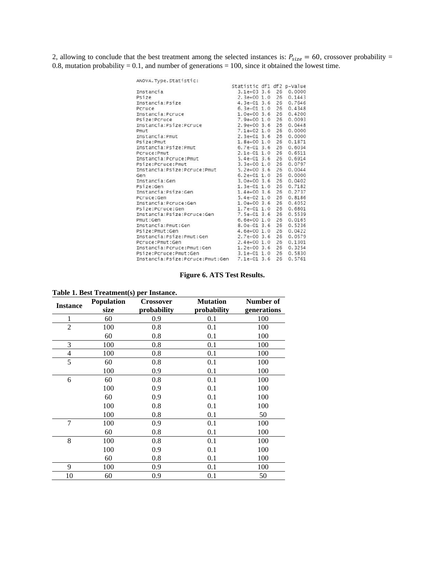2, allowing to conclude that the best treatment among the selected instances is:  $P_{size} = 60$ , crossover probability = 0.8, mutation probability  $= 0.1$ , and number of generations  $= 100$ , since it obtained the lowest time.

| ANOVA. Type. Statistic:                        |                           |    |                       |
|------------------------------------------------|---------------------------|----|-----------------------|
|                                                | Statistic df1 df2 p-value |    |                       |
| Instancia                                      |                           |    | 3.1e+03 3.6 26 0.0000 |
| Psize                                          |                           |    | 2.3e+00 1.0 26 0.1443 |
| Instancia:Psize                                | 4.3e-01 3.6 26            |    | 0.7646                |
| Pcruce                                         | $6.3e-011.0$              | 26 | 0.4348                |
| Instancia: Pcruce                              | $1.0e+003.6$              | 26 | 0.4200                |
| Psize:Pcruce                                   | $7.9e+00$ 1.0             | 26 | 0.0093                |
| Instancia:Psize:Pcruce                         | $2.9e+00.3.6$             | 26 | 0.0448                |
| Pmut                                           | $7.1e+02$ 1.0             | 26 | 0.0000                |
| Instancia: Pmut                                | $2.3e+013.6$              | 26 | 0.0000                |
| Psize:Pmut                                     | $1.8e+00$ $1.0$           | 26 | 0.1871                |
| Instancia:Psize:Pmut                           | 6.7e-01 3.6 26            |    | 0.6034                |
| PCruce: Pmut                                   | $2.1e-01$ $1.0$           | 26 | 0.6511                |
| Instancia: Pcruce: Pmut                        | $5.4e-013.6$              | 26 | 0.6914                |
| Psize:Pcruce:Pmut                              | $3.3e+00$ 1.0 26          |    | 0.0797                |
| Instancia:Psize:Pcruce:Pmut                    | $5.2e+00$ 3.6 26          |    | 0.0044                |
| Gen                                            | $6.2e+01$ 1.0             | 26 | 0.0000                |
| Instancia:Gen                                  | $3.0e+003.6$              | 26 | 0.0402                |
| Psize:Gen                                      | 1.3e-01 1.0 26            |    | 0.7182                |
| Instancia:Psize:Gen                            | $1.4e+00$ 3.6 26          |    | 0.2737                |
| Pcruce:Gen                                     | $5.4e-02$ 1.0 26          |    | 0.8186                |
| Instancia: Pcruce: Gen                         | $1.0e+003.6$              | 26 | 0.4052                |
| Psize:Pcruce:Gen                               | $1.7e-01$ $1.0$           | 26 | 0.6801                |
| Instancia:Psize:Pcruce:Gen                     | 7.5e-01 3.6 26            |    | 0.5539                |
| Pmut:Gen                                       | $6.6e+00$ 1.0 26          |    | 0.0165                |
| Instancia: Pmut: Gen                           | 8.0e-01 3.6               | 26 | 0.5236                |
| Psize:Pmut:Gen                                 | 4.6e+00 1.0               | 26 | 0.0422                |
| Instancia:Psize:Pmut:Gen                       | $2.7e+003.6$              | 26 | 0.0579                |
| Pcruce: Pmut: Gen                              | $2.4e+00$ 1.0             | 26 | 0.1301                |
| Instancia:Pcruce:Pmut:Gen                      | $1.2e+003.6$              | 26 | 0.3254                |
| Psize:Pcruce:Pmut:Gen                          | $3.1e-01$ $1.0$           | 26 | 0.5830                |
| Instancia:Psize:Pcruce:Pmut:Gen 7.1e-01 3.6 26 |                           |    | 0.5761                |

**Figure 6. ATS Test Results.**

| <b>Instance</b> | <b>Population</b> | <b>Crossover</b> | <b>Mutation</b> | Number of   |
|-----------------|-------------------|------------------|-----------------|-------------|
|                 | size              | probability      | probability     | generations |
| 1               | 60                | 0.9              | 0.1             | 100         |
| $\overline{2}$  | 100               | 0.8              | 0.1             | 100         |
|                 | 60                | 0.8              | 0.1             | 100         |
| 3               | 100               | 0.8              | 0.1             | 100         |
| 4               | 100               | 0.8              | 0.1             | 100         |
| 5               | 60                | 0.8              | 0.1             | 100         |
|                 | 100               | 0.9              | 0.1             | 100         |
| 6               | 60                | 0.8              | 0.1             | 100         |
|                 | 100               | 0.9              | 0.1             | 100         |
|                 | 60                | 0.9              | 0.1             | 100         |
|                 | 100               | 0.8              | 0.1             | 100         |
|                 | 100               | 0.8              | 0.1             | 50          |
| 7               | 100               | 0.9              | 0.1             | 100         |
|                 | 60                | 0.8              | 0.1             | 100         |
| 8               | 100               | 0.8              | 0.1             | 100         |
|                 | 100               | 0.9              | 0.1             | 100         |
|                 | 60                | 0.8              | 0.1             | 100         |
| 9               | 100               | 0.9              | 0.1             | 100         |
| 10              | 60                | 0.9              | 0.1             | 50          |

|  | Table 1. Best Treatment(s) per Instance. |  |
|--|------------------------------------------|--|
|  |                                          |  |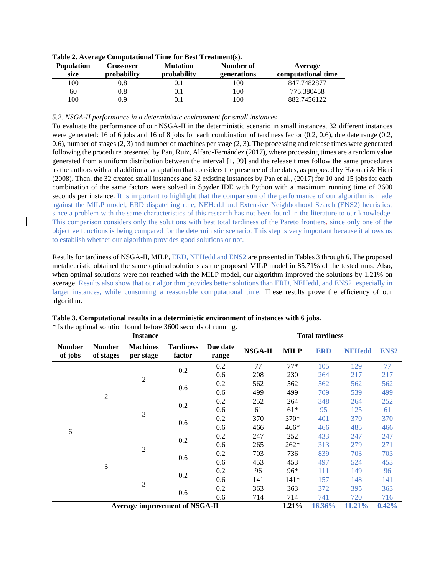| <b>Population</b> | Crossover          | <b>Mutation</b>    | Number of   | Average            |
|-------------------|--------------------|--------------------|-------------|--------------------|
| size              | <b>probability</b> | <b>probability</b> | generations | computational time |
| 100               | 9.8                | U.I                | .00         | 847.7482877        |
| 60                | 9.8                | 0.1                | 100         | 775.380458         |
| 100               | 0.9                |                    | $.00\,$     | 882.7456122        |

**Table 2. Average Computational Time for Best Treatment(s).**

*5.2. NSGA-II performance in a deterministic environment for small instances*

To evaluate the performance of our NSGA-II in the deterministic scenario in small instances, 32 different instances were generated: 16 of 6 jobs and 16 of 8 jobs for each combination of tardiness factor (0.2, 0.6), due date range (0.2, 0.6), number of stages (2, 3) and number of machines per stage (2, 3). The processing and release times were generated following the procedure presented by Pan, Ruiz, Alfaro-Fernández (2017), where processing times are a random value generated from a uniform distribution between the interval [1, 99] and the release times follow the same procedures as the authors with and additional adaptation that considers the presence of due dates, as proposed by Haouari & Hidri (2008). Then, the 32 created small instances and 32 existing instances by Pan et al., (2017) for 10 and 15 jobs for each combination of the same factors were solved in Spyder IDE with Python with a maximum running time of 3600 seconds per instance. It is important to highlight that the comparison of the performance of our algorithm is made against the MILP model, ERD dispatching rule, NEHedd and Extensive Neighborhood Search (ENS2) heuristics, since a problem with the same characteristics of this research has not been found in the literature to our knowledge. This comparison considers only the solutions with best total tardiness of the Pareto frontiers, since only one of the objective functions is being compared for the deterministic scenario. This step is very important because it allows us to establish whether our algorithm provides good solutions or not.

Results for tardiness of NSGA-II, MILP, ERD, NEHedd and ENS2 are presented in Tables 3 through 6. The proposed metaheuristic obtained the same optimal solutions as the proposed MILP model in 85.71% of the tested runs. Also, when optimal solutions were not reached with the MILP model, our algorithm improved the solutions by 1.21% on average. Results also show that our algorithm provides better solutions than ERD, NEHedd, and ENS2, especially in larger instances, while consuming a reasonable computational time. These results prove the efficiency of our algorithm.

|                          |                            | <b>Instance</b>                       |                            |                   | <b>Total tardiness</b>                 |             |            |                                                                             |             |     |
|--------------------------|----------------------------|---------------------------------------|----------------------------|-------------------|----------------------------------------|-------------|------------|-----------------------------------------------------------------------------|-------------|-----|
| <b>Number</b><br>of jobs | <b>Number</b><br>of stages | <b>Machines</b><br>per stage          | <b>Tardiness</b><br>factor | Due date<br>range | NSGA-II                                | <b>MILP</b> | <b>ERD</b> | <b>NEHedd</b>                                                               | <b>ENS2</b> |     |
|                          |                            |                                       | 0.2                        | 0.2               | 77                                     | $77*$       | 105        | 129                                                                         | 77          |     |
|                          |                            |                                       |                            | 0.6               | 208                                    | 230         | 264        | 217                                                                         | 217         |     |
|                          |                            | $\overline{2}$                        |                            | 0.2               | 562<br>562<br>562<br>499<br>499<br>709 | 562         | 562        |                                                                             |             |     |
|                          | $\overline{2}$             |                                       | 0.6                        | 0.6               |                                        |             | 539        | 499                                                                         |             |     |
|                          |                            | 3                                     |                            | 0.2               | 0.2                                    | 252         | 264        | 348                                                                         | 264         | 252 |
|                          |                            |                                       |                            | 0.6               | 61                                     | $61*$       | 95         | 125                                                                         | 61          |     |
|                          |                            |                                       |                            | 0.2               | 370                                    | 370*        | 401        | 370                                                                         | 370         |     |
|                          |                            |                                       | 0.6                        | 0.6               | 466                                    | 466*        | 466        | 485                                                                         | 466         |     |
| 6                        |                            |                                       | 0.2                        | 0.2               | 247                                    | 252         | 433        | 247                                                                         | 247         |     |
|                          |                            |                                       | $\overline{2}$             |                   |                                        | 0.6         | 265        | $262*$                                                                      | 313         | 279 |
|                          |                            |                                       |                            | 0.2               | 703                                    | 736         | 839        | 703                                                                         | 703         |     |
|                          | 3                          |                                       | 0.6                        | 0.6               | 453                                    | 453         | 497        | 524<br>453<br>149<br>96<br>141<br>148<br>395<br>363<br>716<br>720<br>11.21% |             |     |
|                          |                            |                                       | 0.2                        | 0.2               | 96                                     | 96*         | 111        |                                                                             |             |     |
|                          |                            | 3                                     |                            | 0.6               | 141                                    | $141*$      | 157        |                                                                             |             |     |
|                          |                            |                                       |                            | 0.2               | 363                                    | 363         | 372        |                                                                             |             |     |
|                          |                            |                                       | 0.6                        | 0.6               | 714                                    | 714         | 741        |                                                                             |             |     |
|                          |                            | <b>Average improvement of NSGA-II</b> |                            |                   |                                        | 1.21%       | 16.36%     |                                                                             | 0.42%       |     |

**Table 3. Computational results in a deterministic environment of instances with 6 jobs.** \* Is the optimal solution found before 3600 seconds of running.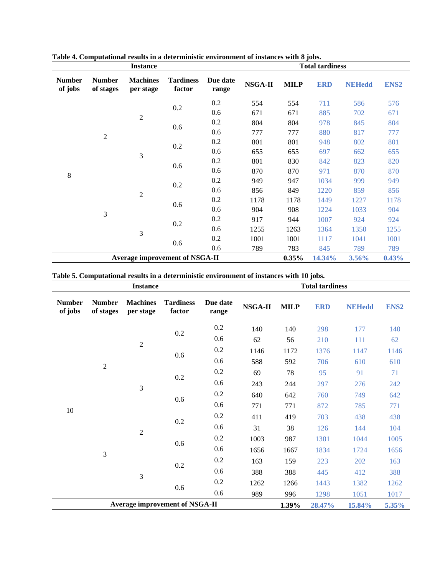|                          |                            | <b>Instance</b>                       |                            |                   | <b>Total tardiness</b> |             |            |                          |                                                                   |
|--------------------------|----------------------------|---------------------------------------|----------------------------|-------------------|------------------------|-------------|------------|--------------------------|-------------------------------------------------------------------|
| <b>Number</b><br>of jobs | <b>Number</b><br>of stages | <b>Machines</b><br>per stage          | <b>Tardiness</b><br>factor | Due date<br>range | NSGA-II                | <b>MILP</b> | <b>ERD</b> | <b>NEHedd</b>            | ENS <sub>2</sub>                                                  |
|                          |                            |                                       | 0.2                        | 0.2               | 554                    | 554         | 711        | 586                      | 576                                                               |
|                          |                            | $\overline{2}$                        |                            | 0.6               | 671                    | 671         | 885        | 702                      | 671                                                               |
| $\overline{2}$           |                            | 0.6                                   | 0.2                        | 804               | 804                    | 978         | 845        | 804                      |                                                                   |
|                          |                            |                                       |                            | 0.6               | 777                    | 777         | 880        | 817                      | 777                                                               |
|                          |                            |                                       | 0.2                        | 0.2               | 801                    | 801         | 948        | 802                      | 801                                                               |
|                          |                            | 3                                     |                            | 0.6               | 655                    | 655         | 697        | 655<br>662<br>823<br>820 |                                                                   |
|                          |                            |                                       | 0.6                        | 0.2               | 801                    | 830         | 842        |                          |                                                                   |
| 8                        |                            |                                       |                            | 0.6               | 870                    | 870         | 971        | 870<br>999               | 870                                                               |
|                          |                            |                                       | 0.2                        | 0.2               | 949                    | 947         | 1034       |                          | 949                                                               |
|                          |                            |                                       |                            | 0.6               | 856                    | 849         | 1220       | 859                      | 856                                                               |
|                          |                            | $\overline{2}$                        | 0.6                        | 0.2               | 1178                   | 1178        | 1449       | 1227                     | 1178<br>1033<br>904<br>924<br>924<br>1350<br>1255<br>1041<br>1001 |
|                          | 3                          |                                       |                            | 0.6               | 904                    | 908         | 1224       | 789<br>789<br>3.56%      |                                                                   |
|                          |                            |                                       | 0.2                        | 0.2               | 917                    | 944         | 1007       |                          |                                                                   |
|                          |                            | 3                                     |                            | 0.6               | 1255                   | 1263        | 1364       |                          |                                                                   |
|                          |                            |                                       |                            | 0.2               | 1001                   | 1001        | 1117       |                          |                                                                   |
|                          |                            |                                       | 0.6                        | 0.6               | 789                    | 783         | 845        |                          |                                                                   |
|                          |                            | <b>Average improvement of NSGA-II</b> |                            |                   |                        | $0.35\%$    | 14.34%     |                          | 0.43%                                                             |

**Table 4. Computational results in a deterministic environment of instances with 8 jobs.**

**Table 5. Computational results in a deterministic environment of instances with 10 jobs.**

|                          |                            | <b>Instance</b>              |                                       | <b>Total tardiness</b> |              |             |            |               |                  |
|--------------------------|----------------------------|------------------------------|---------------------------------------|------------------------|--------------|-------------|------------|---------------|------------------|
| <b>Number</b><br>of jobs | <b>Number</b><br>of stages | <b>Machines</b><br>per stage | <b>Tardiness</b><br>factor            | Due date<br>range      | NSGA-II      | <b>MILP</b> | <b>ERD</b> | <b>NEHedd</b> | ENS <sub>2</sub> |
|                          |                            |                              | 0.2                                   | 0.2                    | 140          | 140         | 298        | 177           | 140              |
|                          |                            | $\overline{c}$               |                                       | 0.6                    | 62           | 56          | 210        | 111           | 62               |
|                          |                            |                              | 0.6                                   | 0.2                    | 1146<br>1172 | 1376        | 1147       | 1146          |                  |
|                          | $\sqrt{2}$                 |                              |                                       | 0.6                    | 588          | 592         | 706        | 610           | 610              |
|                          |                            | 3                            | 0.2                                   | 0.2                    | 69           | 78          | 95         | 91            | 71               |
|                          |                            |                              |                                       | 0.6                    | 243          | 244         | 297        | 276<br>242    |                  |
|                          |                            |                              | 0.6                                   | 0.2                    | 640          | 642         | 760        | 749           | 642              |
| 10                       |                            |                              |                                       | 0.6                    | 771          | 771         | 872        | 785<br>438    | 771              |
|                          |                            |                              | 0.2                                   | 0.2                    | 411          | 419         | 703        |               | 438              |
|                          |                            | $\overline{c}$               |                                       | 0.6                    | 31           | 38          | 126        | 144           | 104              |
|                          |                            |                              | 0.6                                   | 0.2                    | 1003         | 987         | 1301       | 1044          | 1005             |
|                          | 3                          |                              |                                       | 0.6                    | 1656         | 1667        | 1834       | 1724          | 1656             |
|                          |                            |                              | 0.2                                   | 0.2                    | 163          | 159         | 223        | 202           | 163              |
|                          |                            | 3                            |                                       | 0.6                    | 388          | 388         | 445        | 412           | 388              |
|                          |                            |                              | 0.6                                   | 0.2                    | 1262         | 1266        | 1443       | 1382          | 1262             |
|                          |                            |                              |                                       | 0.6                    | 989          | 996         | 1298       | 1051          | 1017             |
|                          |                            |                              | <b>Average improvement of NSGA-II</b> |                        | 1.39%        | 28.47%      | 15.84%     | 5.35%         |                  |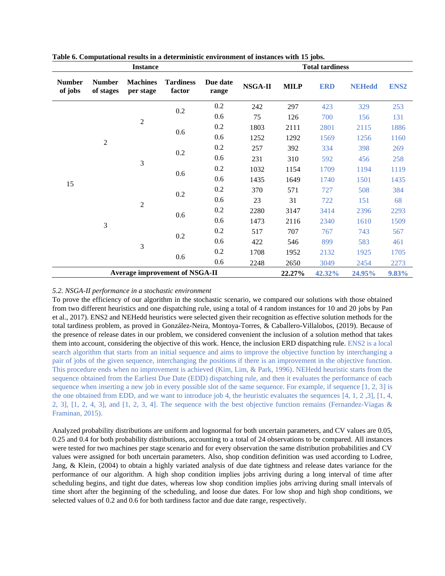|                          |                            | <b>Instance</b>              |                                       | <b>Total tardiness</b> |         |             |            |                                           |                  |     |     |     |
|--------------------------|----------------------------|------------------------------|---------------------------------------|------------------------|---------|-------------|------------|-------------------------------------------|------------------|-----|-----|-----|
| <b>Number</b><br>of jobs | <b>Number</b><br>of stages | <b>Machines</b><br>per stage | <b>Tardiness</b><br>factor            | Due date<br>range      | NSGA-II | <b>MILP</b> | <b>ERD</b> | <b>NEHedd</b>                             | ENS <sub>2</sub> |     |     |     |
|                          |                            |                              | $0.2\,$                               | 0.2                    | 242     | 297         | 423        | 329                                       | 253              |     |     |     |
|                          |                            | $\mathfrak{2}$               |                                       | 0.6                    | 75      | 126         | 700        | 156                                       | 131              |     |     |     |
| $\overline{2}$           |                            | 0.6                          | 0.2                                   | 1803                   | 2111    | 2801        | 2115       | 1886                                      |                  |     |     |     |
|                          |                            |                              | 0.6                                   | 1252                   | 1292    | 1569        | 1256       | 1160                                      |                  |     |     |     |
|                          |                            |                              |                                       |                        |         | 0.2         | 0.2        | 257                                       | 392              | 334 | 398 | 269 |
|                          |                            | 3                            |                                       | 0.6                    | 231     | 310         | 592        | 456                                       | 258              |     |     |     |
|                          |                            |                              | 0.6                                   | 0.2                    | 1032    | 1154        | 1709       | 1194                                      | 1119             |     |     |     |
| 15                       |                            |                              |                                       | 0.6                    | 1435    | 1649        | 1740       | 1501                                      | 1435             |     |     |     |
|                          |                            |                              | 0.2                                   | 0.2                    | 370     | 571         | 727        | 508                                       | 384              |     |     |     |
|                          |                            | $\mathfrak{2}$               |                                       | 0.6                    | 23      | 31          | 722        | 151                                       | 68               |     |     |     |
|                          |                            |                              | 0.6                                   | 0.2                    | 2280    | 3147        | 3414       | 2396                                      | 2293             |     |     |     |
|                          | 3                          |                              |                                       | 0.6                    | 1473    | 2116        | 2340       | 1610<br>743<br>583<br>461<br>1925<br>2454 | 1509             |     |     |     |
|                          |                            |                              | 0.2                                   | 0.2                    | 517     | 707         | 767        |                                           | 567              |     |     |     |
|                          |                            | 3                            |                                       | 0.6                    | 422     | 546         | 899        |                                           |                  |     |     |     |
|                          |                            |                              |                                       | 0.2                    | 1708    | 1952        | 2132       |                                           | 1705             |     |     |     |
|                          |                            |                              | 0.6                                   | 0.6                    | 2248    | 2650        | 3049       |                                           | 2273             |     |     |     |
|                          |                            |                              | <b>Average improvement of NSGA-II</b> |                        |         | 22.27%      | 42.32%     | 24.95%                                    | 9.83%            |     |     |     |

**Table 6. Computational results in a deterministic environment of instances with 15 jobs.**

## *5.2. NSGA-II performance in a stochastic environment*

To prove the efficiency of our algorithm in the stochastic scenario, we compared our solutions with those obtained from two different heuristics and one dispatching rule, using a total of 4 random instances for 10 and 20 jobs by Pan et al., 2017). ENS2 and NEHedd heuristics were selected given their recognition as effective solution methods for the total tardiness problem, as proved in González-Neira, Montoya-Torres, & Caballero-Villalobos, (2019). Because of the presence of release dates in our problem, we considered convenient the inclusion of a solution method that takes them into account, considering the objective of this work. Hence, the inclusion ERD dispatching rule. ENS2 is a local search algorithm that starts from an initial sequence and aims to improve the objective function by interchanging a pair of jobs of the given sequence, interchanging the positions if there is an improvement in the objective function. This procedure ends when no improvement is achieved (Kim, Lim, & Park, 1996). NEHedd heuristic starts from the sequence obtained from the Earliest Due Date (EDD) dispatching rule, and then it evaluates the performance of each sequence when inserting a new job in every possible slot of the same sequence. For example, if sequence [1, 2, 3] is the one obtained from EDD, and we want to introduce job 4, the heuristic evaluates the sequences [4, 1, 2 ,3], [1, 4, 2, 3], [1, 2, 4, 3], and [1, 2, 3, 4]. The sequence with the best objective function remains (Fernandez-Viagas & Framinan, 2015).

Analyzed probability distributions are uniform and lognormal for both uncertain parameters, and CV values are 0.05, 0.25 and 0.4 for both probability distributions, accounting to a total of 24 observations to be compared. All instances were tested for two machines per stage scenario and for every observation the same distribution probabilities and CV values were assigned for both uncertain parameters. Also, shop condition definition was used according to Lodree, Jang, & Klein, (2004) to obtain a highly variated analysis of due date tightness and release dates variance for the performance of our algorithm. A high shop condition implies jobs arriving during a long interval of time after scheduling begins, and tight due dates, whereas low shop condition implies jobs arriving during small intervals of time short after the beginning of the scheduling, and loose due dates. For low shop and high shop conditions, we selected values of 0.2 and 0.6 for both tardiness factor and due date range, respectively.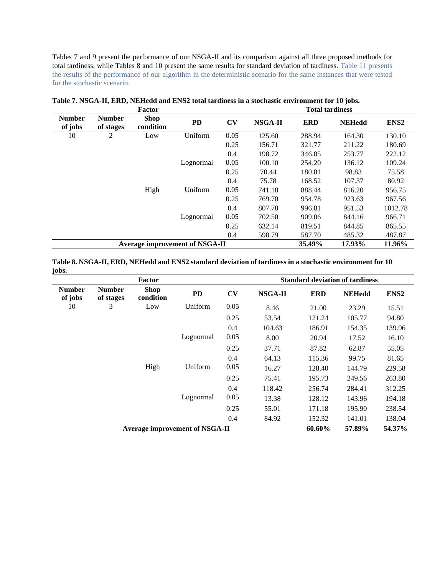Tables 7 and 9 present the performance of our NSGA-II and its comparison against all three proposed methods for total tardiness, while Tables 8 and 10 present the same results for standard deviation of tardiness. Table 11 presents the results of the performance of our algorithm in the deterministic scenario for the same instances that were tested for the stochastic scenario.

|                          |                            | Factor                   |                                       |      | <b>Total tardiness</b> |            |               |                  |  |
|--------------------------|----------------------------|--------------------------|---------------------------------------|------|------------------------|------------|---------------|------------------|--|
| <b>Number</b><br>of jobs | <b>Number</b><br>of stages | <b>Shop</b><br>condition | <b>PD</b>                             | CV   | NSGA-II                | <b>ERD</b> | <b>NEHedd</b> | ENS <sub>2</sub> |  |
| 10                       | 2                          | Low                      | Uniform                               | 0.05 | 125.60                 | 288.94     | 164.30        | 130.10           |  |
|                          |                            |                          |                                       | 0.25 | 156.71                 | 321.77     | 211.22        | 180.69           |  |
|                          |                            |                          |                                       | 0.4  | 198.72                 | 346.85     | 253.77        | 222.12           |  |
|                          |                            |                          | Lognormal                             | 0.05 | 100.10                 | 254.20     | 136.12        | 109.24           |  |
|                          |                            |                          |                                       | 0.25 | 70.44                  | 180.81     | 98.83         | 75.58            |  |
|                          |                            |                          |                                       | 0.4  | 75.78                  | 168.52     | 107.37        | 80.92            |  |
|                          |                            | High                     | Uniform                               | 0.05 | 741.18                 | 888.44     | 816.20        | 956.75           |  |
|                          |                            |                          |                                       | 0.25 | 769.70                 | 954.78     | 923.63        | 967.56           |  |
|                          |                            |                          |                                       | 0.4  | 807.78                 | 996.81     | 951.53        | 1012.78          |  |
|                          |                            |                          | Lognormal                             | 0.05 | 702.50                 | 909.06     | 844.16        | 966.71           |  |
|                          |                            |                          |                                       | 0.25 | 632.14                 | 819.51     | 844.85        | 865.55           |  |
|                          |                            |                          |                                       | 0.4  | 598.79                 | 587.70     | 485.32        | 487.87           |  |
|                          |                            |                          | <b>Average improvement of NSGA-II</b> |      |                        | 35.49%     | 17.93%        | 11.96%           |  |

**Table 7. NSGA-II, ERD, NEHedd and ENS2 total tardiness in a stochastic environment for 10 jobs.**

**Table 8. NSGA-II, ERD, NEHedd and ENS2 standard deviation of tardiness in a stochastic environment for 10 jobs.**

|                          |                            | <b>Factor</b>            |                                       |      | <b>Standard deviation of tardiness</b> |            |               |                  |
|--------------------------|----------------------------|--------------------------|---------------------------------------|------|----------------------------------------|------------|---------------|------------------|
| <b>Number</b><br>of jobs | <b>Number</b><br>of stages | <b>Shop</b><br>condition | <b>PD</b>                             | CV   | NSGA-II                                | <b>ERD</b> | <b>NEHedd</b> | ENS <sub>2</sub> |
| 10                       | 3                          | Low                      | Uniform                               | 0.05 | 8.46                                   | 21.00      | 23.29         | 15.51            |
|                          |                            |                          |                                       | 0.25 | 53.54                                  | 121.24     | 105.77        | 94.80            |
|                          |                            |                          |                                       | 0.4  | 104.63                                 | 186.91     | 154.35        | 139.96           |
|                          |                            |                          | Lognormal                             | 0.05 | 8.00                                   | 20.94      | 17.52         | 16.10            |
|                          |                            |                          |                                       | 0.25 | 37.71                                  | 87.82      | 62.87         | 55.05            |
|                          |                            |                          |                                       | 0.4  | 64.13                                  | 115.36     | 99.75         | 81.65            |
|                          |                            | High                     | Uniform                               | 0.05 | 16.27                                  | 128.40     | 144.79        | 229.58           |
|                          |                            |                          |                                       | 0.25 | 75.41                                  | 195.73     | 249.56        | 263.80           |
|                          |                            |                          |                                       | 0.4  | 118.42                                 | 256.74     | 284.41        | 312.25           |
|                          |                            |                          | Lognormal                             | 0.05 | 13.38                                  | 128.12     | 143.96        | 194.18           |
|                          |                            |                          |                                       | 0.25 | 55.01                                  | 171.18     | 195.90        | 238.54           |
|                          |                            |                          |                                       | 0.4  | 84.92                                  | 152.32     | 141.01        | 138.04           |
|                          |                            |                          | <b>Average improvement of NSGA-II</b> |      |                                        | 60.60%     | 57.89%        | 54.37%           |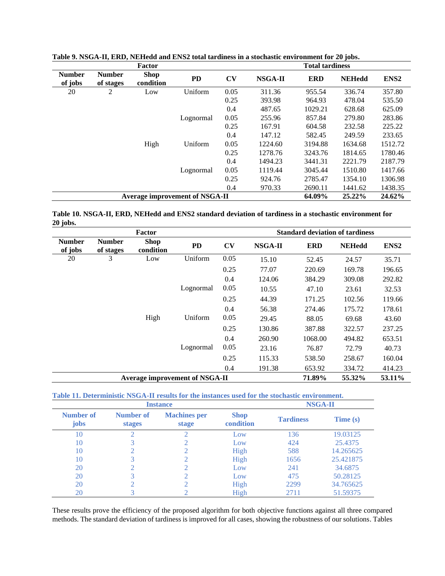|                          |                            | Factor                   |                                       |      |         | <b>Total tardiness</b> |               |                  |
|--------------------------|----------------------------|--------------------------|---------------------------------------|------|---------|------------------------|---------------|------------------|
| <b>Number</b><br>of jobs | <b>Number</b><br>of stages | <b>Shop</b><br>condition | <b>PD</b>                             | CV   | NSGA-II | <b>ERD</b>             | <b>NEHedd</b> | ENS <sub>2</sub> |
| 20                       | 2                          | Low                      | Uniform                               | 0.05 | 311.36  | 955.54                 | 336.74        | 357.80           |
|                          |                            |                          |                                       | 0.25 | 393.98  | 964.93                 | 478.04        | 535.50           |
|                          |                            |                          |                                       | 0.4  | 487.65  | 1029.21                | 628.68        | 625.09           |
|                          |                            |                          | Lognormal                             | 0.05 | 255.96  | 857.84                 | 279.80        | 283.86           |
|                          |                            |                          |                                       | 0.25 | 167.91  | 604.58                 | 232.58        | 225.22           |
|                          |                            |                          |                                       | 0.4  | 147.12  | 582.45                 | 249.59        | 233.65           |
|                          |                            | High                     | Uniform                               | 0.05 | 1224.60 | 3194.88                | 1634.68       | 1512.72          |
|                          |                            |                          |                                       | 0.25 | 1278.76 | 3243.76                | 1814.65       | 1780.46          |
|                          |                            |                          |                                       | 0.4  | 1494.23 | 3441.31                | 2221.79       | 2187.79          |
|                          |                            |                          | Lognormal                             | 0.05 | 1119.44 | 3045.44                | 1510.80       | 1417.66          |
|                          |                            |                          |                                       | 0.25 | 924.76  | 2785.47                | 1354.10       | 1306.98          |
|                          |                            |                          |                                       | 0.4  | 970.33  | 2690.11                | 1441.62       | 1438.35          |
|                          |                            |                          | <b>Average improvement of NSGA-II</b> |      |         | 64.09%                 | 25.22%        | 24.62%           |

**Table 9. NSGA-II, ERD, NEHedd and ENS2 total tardiness in a stochastic environment for 20 jobs.**

**Table 10. NSGA-II, ERD, NEHedd and ENS2 standard deviation of tardiness in a stochastic environment for 20 jobs.**

|                          |                            | Factor                   |                                | <b>Standard deviation of tardiness</b> |         |            |               |                  |  |  |
|--------------------------|----------------------------|--------------------------|--------------------------------|----------------------------------------|---------|------------|---------------|------------------|--|--|
| <b>Number</b><br>of jobs | <b>Number</b><br>of stages | <b>Shop</b><br>condition | <b>PD</b>                      | CV                                     | NSGA-II | <b>ERD</b> | <b>NEHedd</b> | ENS <sub>2</sub> |  |  |
| 20                       | 3                          | Low                      | Uniform                        | 0.05                                   | 15.10   | 52.45      | 24.57         | 35.71            |  |  |
|                          |                            |                          |                                | 0.25                                   | 77.07   | 220.69     | 169.78        | 196.65           |  |  |
|                          |                            |                          |                                | 0.4                                    | 124.06  | 384.29     | 309.08        | 292.82           |  |  |
|                          |                            |                          | Lognormal                      | 0.05                                   | 10.55   | 47.10      | 23.61         | 32.53            |  |  |
|                          |                            |                          |                                | 0.25                                   | 44.39   | 171.25     | 102.56        | 119.66           |  |  |
|                          |                            |                          |                                | 0.4                                    | 56.38   | 274.46     | 175.72        | 178.61           |  |  |
|                          |                            | High                     | Uniform                        | 0.05                                   | 29.45   | 88.05      | 69.68         | 43.60            |  |  |
|                          |                            |                          |                                | 0.25                                   | 130.86  | 387.88     | 322.57        | 237.25           |  |  |
|                          |                            |                          |                                | 0.4                                    | 260.90  | 1068.00    | 494.82        | 653.51           |  |  |
|                          |                            |                          | Lognormal                      | 0.05                                   | 23.16   | 76.87      | 72.79         | 40.73            |  |  |
|                          |                            |                          |                                | 0.25                                   | 115.33  | 538.50     | 258.67        | 160.04           |  |  |
|                          |                            |                          |                                | 0.4                                    | 191.38  | 653.92     | 334.72        | 414.23           |  |  |
|                          |                            |                          | Average improvement of NSGA-II |                                        |         | 71.89%     | 55.32%        | 53.11%           |  |  |

|  | Table 11. Deterministic NSGA-II results for the instances used for the stochastic environment. |
|--|------------------------------------------------------------------------------------------------|
|  | STORY & TT                                                                                     |

|                          | <b>Instance</b>     |                              |                          |                  | <b>NSGA-II</b> |
|--------------------------|---------------------|------------------------------|--------------------------|------------------|----------------|
| <b>Number of</b><br>jobs | Number of<br>stages | <b>Machines</b> per<br>stage | <b>Shop</b><br>condition | <b>Tardiness</b> | Time (s)       |
| 10                       | ∩                   |                              | Low                      | 136              | 19.03125       |
| 10                       | 3                   |                              | Low                      | 424              | 25.4375        |
| 10                       |                     |                              | High                     | 588              | 14.265625      |
| 10                       | 3                   |                              | High                     | 1656             | 25.421875      |
| 20                       |                     |                              | Low                      | 241              | 34.6875        |
| 20                       | 3                   |                              | Low                      | 475              | 50.28125       |
| 20                       | ◠                   |                              | High                     | 2299             | 34.765625      |
| 20                       | 3                   |                              | High                     | 2711             | 51.59375       |

These results prove the efficiency of the proposed algorithm for both objective functions against all three compared methods. The standard deviation of tardiness is improved for all cases, showing the robustness of our solutions. Tables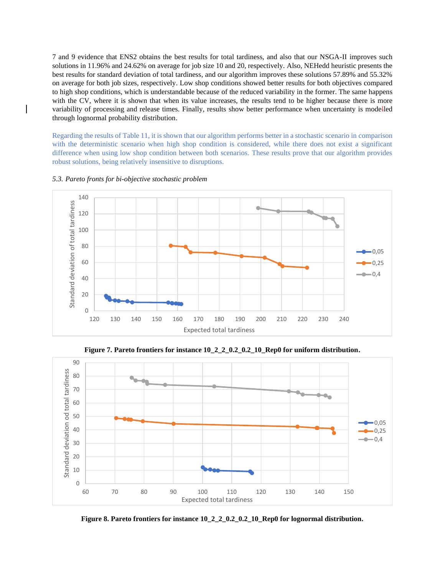7 and 9 evidence that ENS2 obtains the best results for total tardiness, and also that our NSGA-II improves such solutions in 11.96% and 24.62% on average for job size 10 and 20, respectively. Also, NEHedd heuristic presents the best results for standard deviation of total tardiness, and our algorithm improves these solutions 57.89% and 55.32% on average for both job sizes, respectively. Low shop conditions showed better results for both objectives compared to high shop conditions, which is understandable because of the reduced variability in the former. The same happens with the CV, where it is shown that when its value increases, the results tend to be higher because there is more variability of processing and release times. Finally, results show better performance when uncertainty is modelled through lognormal probability distribution.

Regarding the results of Table 11, it is shown that our algorithm performs better in a stochastic scenario in comparison with the deterministic scenario when high shop condition is considered, while there does not exist a significant difference when using low shop condition between both scenarios. These results prove that our algorithm provides robust solutions, being relatively insensitive to disruptions.



*5.3. Pareto fronts for bi-objective stochastic problem*

**Figure 7. Pareto frontiers for instance 10\_2\_2\_0.2\_0.2\_10\_Rep0 for uniform distribution.**



**Figure 8. Pareto frontiers for instance 10\_2\_2\_0.2\_0.2\_10\_Rep0 for lognormal distribution.**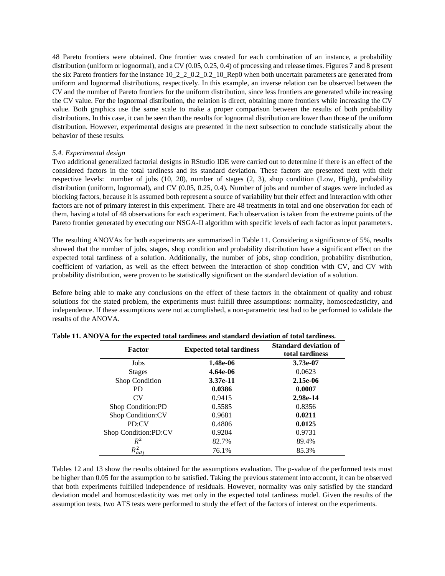48 Pareto frontiers were obtained. One frontier was created for each combination of an instance, a probability distribution (uniform or lognormal), and a CV (0.05, 0.25, 0.4) of processing and release times. Figures 7 and 8 present the six Pareto frontiers for the instance 10\_2\_2\_0.2\_0.2\_10\_Rep0 when both uncertain parameters are generated from uniform and lognormal distributions, respectively. In this example, an inverse relation can be observed between the CV and the number of Pareto frontiers for the uniform distribution, since less frontiers are generated while increasing the CV value. For the lognormal distribution, the relation is direct, obtaining more frontiers while increasing the CV value. Both graphics use the same scale to make a proper comparison between the results of both probability distributions. In this case, it can be seen than the results for lognormal distribution are lower than those of the uniform distribution. However, experimental designs are presented in the next subsection to conclude statistically about the behavior of these results.

## *5.4. Experimental design*

Two additional generalized factorial designs in RStudio IDE were carried out to determine if there is an effect of the considered factors in the total tardiness and its standard deviation. These factors are presented next with their respective levels: number of jobs (10, 20), number of stages (2, 3), shop condition (Low, High), probability distribution (uniform, lognormal), and CV (0.05, 0.25, 0.4). Number of jobs and number of stages were included as blocking factors, because it is assumed both represent a source of variability but their effect and interaction with other factors are not of primary interest in this experiment. There are 48 treatments in total and one observation for each of them, having a total of 48 observations for each experiment. Each observation is taken from the extreme points of the Pareto frontier generated by executing our NSGA-II algorithm with specific levels of each factor as input parameters.

The resulting ANOVAs for both experiments are summarized in Table 11. Considering a significance of 5%, results showed that the number of jobs, stages, shop condition and probability distribution have a significant effect on the expected total tardiness of a solution. Additionally, the number of jobs, shop condition, probability distribution, coefficient of variation, as well as the effect between the interaction of shop condition with CV, and CV with probability distribution, were proven to be statistically significant on the standard deviation of a solution.

Before being able to make any conclusions on the effect of these factors in the obtainment of quality and robust solutions for the stated problem, the experiments must fulfill three assumptions: normality, homoscedasticity, and independence. If these assumptions were not accomplished, a non-parametric test had to be performed to validate the results of the ANOVA.

| <b>Factor</b>         | <b>Expected total tardiness</b> | <b>Standard deviation of</b><br>total tardiness |  |  |
|-----------------------|---------------------------------|-------------------------------------------------|--|--|
| Jobs                  | 1.48e-06                        | 3.73e-07                                        |  |  |
| <b>Stages</b>         | 4.64e-06                        | 0.0623                                          |  |  |
| <b>Shop Condition</b> | 3.37e-11                        | 2.15e-06                                        |  |  |
| PD.                   | 0.0386                          | 0.0007                                          |  |  |
| CV                    | 0.9415                          | 2.98e-14                                        |  |  |
| Shop Condition:PD     | 0.5585                          | 0.8356                                          |  |  |
| Shop Condition: CV    | 0.9681                          | 0.0211                                          |  |  |
| PD:CV                 | 0.4806                          | 0.0125                                          |  |  |
| Shop Condition:PD:CV  | 0.9204                          | 0.9731                                          |  |  |
| $R^2$                 | 82.7%                           | 89.4%                                           |  |  |
| $R_{ad}^2$            | 76.1%                           | 85.3%                                           |  |  |

|  | Table 11. ANOVA for the expected total tardiness and standard deviation of total tardiness. |  |  |
|--|---------------------------------------------------------------------------------------------|--|--|
|  |                                                                                             |  |  |

Tables 12 and 13 show the results obtained for the assumptions evaluation. The p-value of the performed tests must be higher than 0.05 for the assumption to be satisfied. Taking the previous statement into account, it can be observed that both experiments fulfilled independence of residuals. However, normality was only satisfied by the standard deviation model and homoscedasticity was met only in the expected total tardiness model. Given the results of the assumption tests, two ATS tests were performed to study the effect of the factors of interest on the experiments.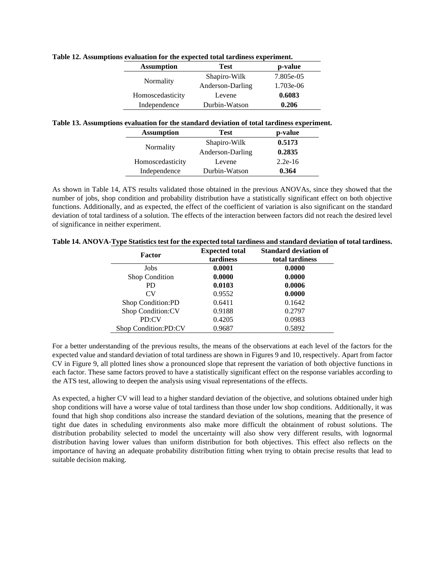| станаанын тог инс слресней тошг анганнезэ слрегинени |                  |           |  |  |  |  |
|------------------------------------------------------|------------------|-----------|--|--|--|--|
| <b>Assumption</b>                                    | <b>Test</b>      | p-value   |  |  |  |  |
| Normality                                            | Shapiro-Wilk     | 7.805e-05 |  |  |  |  |
|                                                      | Anderson-Darling | 1.703e-06 |  |  |  |  |
| Homoscedasticity                                     | Levene           | 0.6083    |  |  |  |  |
| Independence                                         | Durbin-Watson    | 0.206     |  |  |  |  |

## **Table 12. Assumptions evaluation for the expected total tardiness experiment.**

## **Table 13. Assumptions evaluation for the standard deviation of total tardiness experiment.**

| <b>Assumption</b> | Test             | p-value   |  |
|-------------------|------------------|-----------|--|
|                   | Shapiro-Wilk     | 0.5173    |  |
| Normality         | Anderson-Darling | 0.2835    |  |
| Homoscedasticity  | Levene           | $2.2e-16$ |  |
| Independence      | Durbin-Watson    | 0.364     |  |

As shown in Table 14, ATS results validated those obtained in the previous ANOVAs, since they showed that the number of jobs, shop condition and probability distribution have a statistically significant effect on both objective functions. Additionally, and as expected, the effect of the coefficient of variation is also significant on the standard deviation of total tardiness of a solution. The effects of the interaction between factors did not reach the desired level of significance in neither experiment.

| <b>Factor</b>         | <b>Expected total</b><br>tardiness | <b>Standard deviation of</b><br>total tardiness |  |  |
|-----------------------|------------------------------------|-------------------------------------------------|--|--|
| Jobs                  | 0.0001                             | 0.0000                                          |  |  |
| <b>Shop Condition</b> | 0.0000                             | 0.0000                                          |  |  |
| PD.                   | 0.0103                             | 0.0006                                          |  |  |
| CV <sub></sub>        | 0.9552                             | 0.0000                                          |  |  |
| Shop Condition:PD     | 0.6411                             | 0.1642                                          |  |  |
| Shop Condition:CV     | 0.9188                             | 0.2797                                          |  |  |
| PD:CV                 | 0.4205                             | 0.0983                                          |  |  |
| Shop Condition:PD:CV  | 0.9687                             | 0.5892                                          |  |  |

For a better understanding of the previous results, the means of the observations at each level of the factors for the expected value and standard deviation of total tardiness are shown in Figures 9 and 10, respectively. Apart from factor CV in Figure 9, all plotted lines show a pronounced slope that represent the variation of both objective functions in each factor. These same factors proved to have a statistically significant effect on the response variables according to the ATS test, allowing to deepen the analysis using visual representations of the effects.

As expected, a higher CV will lead to a higher standard deviation of the objective, and solutions obtained under high shop conditions will have a worse value of total tardiness than those under low shop conditions. Additionally, it was found that high shop conditions also increase the standard deviation of the solutions, meaning that the presence of tight due dates in scheduling environments also make more difficult the obtainment of robust solutions. The distribution probability selected to model the uncertainty will also show very different results, with lognormal distribution having lower values than uniform distribution for both objectives. This effect also reflects on the importance of having an adequate probability distribution fitting when trying to obtain precise results that lead to suitable decision making.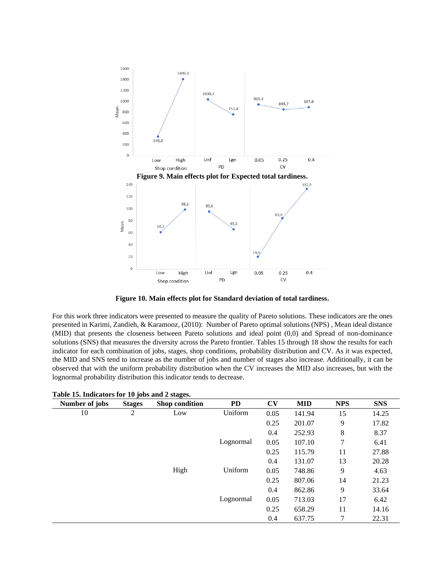

**Figure 10. Main effects plot for Standard deviation of total tardiness.**

For this work three indicators were presented to measure the quality of Pareto solutions. These indicators are the ones presented in Karimi, Zandieh, & Karamooz, (2010): Number of Pareto optimal solutions (NPS) , Mean ideal distance (MID) that presents the closeness between Pareto solutions and ideal point (0,0) and Spread of non-dominance solutions (SNS) that measures the diversity across the Pareto frontier. Tables 15 through 18 show the results for each indicator for each combination of jobs, stages, shop conditions, probability distribution and CV. As it was expected, the MID and SNS tend to increase as the number of jobs and number of stages also increase. Additionally, it can be observed that with the uniform probability distribution when the CV increases the MID also increases, but with the lognormal probability distribution this indicator tends to decrease.

| Number of jobs | <b>Stages</b> | --<br>Shop condition | PD        | CV   | <b>MID</b> | <b>NPS</b> | <b>SNS</b> |
|----------------|---------------|----------------------|-----------|------|------------|------------|------------|
| 10             | 2             | Low                  | Uniform   | 0.05 | 141.94     | 15         | 14.25      |
|                |               |                      |           | 0.25 | 201.07     | 9          | 17.82      |
|                |               |                      |           | 0.4  | 252.93     | 8          | 8.37       |
|                |               |                      | Lognormal | 0.05 | 107.10     | 7          | 6.41       |
|                |               |                      |           | 0.25 | 115.79     | 11         | 27.88      |
|                |               |                      |           | 0.4  | 131.07     | 13         | 20.28      |
|                |               | High                 | Uniform   | 0.05 | 748.86     | 9          | 4.63       |
|                |               |                      |           | 0.25 | 807.06     | 14         | 21.23      |
|                |               |                      |           | 0.4  | 862.86     | 9          | 33.64      |
|                |               |                      | Lognormal | 0.05 | 713.03     | 17         | 6.42       |
|                |               |                      |           | 0.25 | 658.29     | 11         | 14.16      |
|                |               |                      |           | 0.4  | 637.75     | 7          | 22.31      |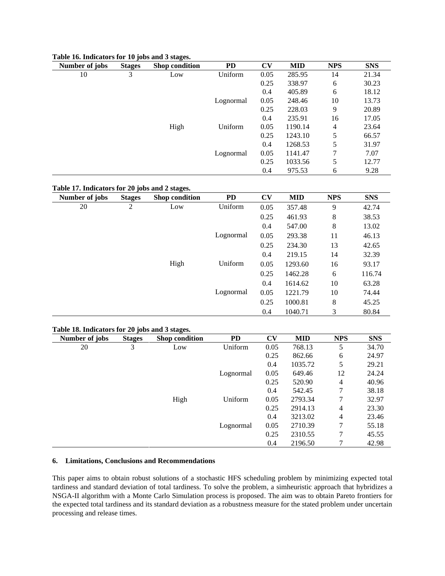| Number of jobs | <b>Stages</b> | Shop condition | PD        | CV   | <b>MID</b> | <b>NPS</b> | <b>SNS</b> |
|----------------|---------------|----------------|-----------|------|------------|------------|------------|
| 10             | 3             | Low            | Uniform   | 0.05 | 285.95     | 14         | 21.34      |
|                |               |                |           | 0.25 | 338.97     | 6          | 30.23      |
|                |               |                |           | 0.4  | 405.89     | 6          | 18.12      |
|                |               |                | Lognormal | 0.05 | 248.46     | 10         | 13.73      |
|                |               |                |           | 0.25 | 228.03     | 9          | 20.89      |
|                |               |                |           | 0.4  | 235.91     | 16         | 17.05      |
|                |               | High           | Uniform   | 0.05 | 1190.14    | 4          | 23.64      |
|                |               |                |           | 0.25 | 1243.10    | 5          | 66.57      |
|                |               |                |           | 0.4  | 1268.53    | 5          | 31.97      |
|                |               |                | Lognormal | 0.05 | 1141.47    | 7          | 7.07       |
|                |               |                |           | 0.25 | 1033.56    | 5          | 12.77      |
|                |               |                |           | 0.4  | 975.53     | 6          | 9.28       |

## **Table 16. Indicators for 10 jobs and 3 stages.**

## **Table 17. Indicators for 20 jobs and 2 stages.**

| Number of jobs | <b>Stages</b>  | Shop condition | PD        | <b>CV</b> | <b>MID</b> | <b>NPS</b> | <b>SNS</b> |
|----------------|----------------|----------------|-----------|-----------|------------|------------|------------|
| 20             | $\overline{c}$ | Low            | Uniform   | 0.05      | 357.48     | 9          | 42.74      |
|                |                |                |           | 0.25      | 461.93     | 8          | 38.53      |
|                |                |                |           | 0.4       | 547.00     | 8          | 13.02      |
|                |                |                | Lognormal | 0.05      | 293.38     | 11         | 46.13      |
|                |                |                |           | 0.25      | 234.30     | 13         | 42.65      |
|                |                |                |           | 0.4       | 219.15     | 14         | 32.39      |
|                |                | High           | Uniform   | 0.05      | 1293.60    | 16         | 93.17      |
|                |                |                |           | 0.25      | 1462.28    | 6          | 116.74     |
|                |                |                |           | 0.4       | 1614.62    | 10         | 63.28      |
|                |                |                | Lognormal | 0.05      | 1221.79    | 10         | 74.44      |
|                |                |                |           | 0.25      | 1000.81    | 8          | 45.25      |
|                |                |                |           | 0.4       | 1040.71    | 3          | 80.84      |

## **Table 18. Indicators for 20 jobs and 3 stages.**

| Number of jobs | $\cdot$<br><b>Stages</b> | -<br>Shop condition | <b>PD</b> | $\mathbf{C}\mathbf{V}$ | <b>MID</b> | <b>NPS</b>     | <b>SNS</b> |
|----------------|--------------------------|---------------------|-----------|------------------------|------------|----------------|------------|
| 20             | 3                        | Low                 | Uniform   | 0.05                   | 768.13     | 5              | 34.70      |
|                |                          |                     |           | 0.25                   | 862.66     | 6              | 24.97      |
|                |                          |                     |           | 0.4                    | 1035.72    | 5              | 29.21      |
|                |                          |                     | Lognormal | 0.05                   | 649.46     | 12             | 24.24      |
|                |                          |                     |           | 0.25                   | 520.90     | $\overline{4}$ | 40.96      |
|                |                          |                     |           | 0.4                    | 542.45     | 7              | 38.18      |
|                |                          | High                | Uniform   | 0.05                   | 2793.34    | 7              | 32.97      |
|                |                          |                     |           | 0.25                   | 2914.13    | 4              | 23.30      |
|                |                          |                     |           | 0.4                    | 3213.02    | $\overline{4}$ | 23.46      |
|                |                          |                     | Lognormal | 0.05                   | 2710.39    | 7              | 55.18      |
|                |                          |                     |           | 0.25                   | 2310.55    | 7              | 45.55      |
|                |                          |                     |           | 0.4                    | 2196.50    | 7              | 42.98      |

## **6. Limitations, Conclusions and Recommendations**

This paper aims to obtain robust solutions of a stochastic HFS scheduling problem by minimizing expected total tardiness and standard deviation of total tardiness. To solve the problem, a simheuristic approach that hybridizes a NSGA-II algorithm with a Monte Carlo Simulation process is proposed. The aim was to obtain Pareto frontiers for the expected total tardiness and its standard deviation as a robustness measure for the stated problem under uncertain processing and release times.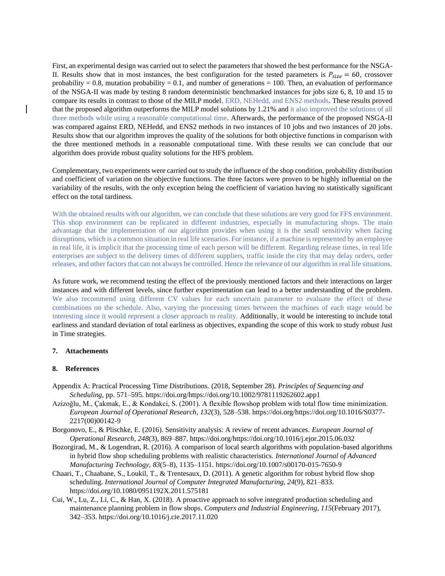First, an experimental design was carried out to select the parameters that showed the best performance for the NSGA-II. Results show that in most instances, the best configuration for the tested parameters is  $P_{size} = 60$ , crossover probability = 0.8, mutation probability = 0.1, and number of generations = 100. Then, an evaluation of performance of the NSGA-II was made by testing 8 random deterministic benchmarked instances for jobs size 6, 8, 10 and 15 to compare its results in contrast to those of the MILP model, ERD, NEHedd, and ENS2 methods. These results proved that the proposed algorithm outperforms the MILP model solutions by 1.21% and it also improved the solutions of all three methods while using a reasonable computational time. Afterwards, the performance of the proposed NSGA-II was compared against ERD, NEHedd, and ENS2 methods in two instances of 10 jobs and two instances of 20 jobs. Results show that our algorithm improves the quality of the solutions for both objective functions in comparison with the three mentioned methods in a reasonable computational time. With these results we can conclude that our algorithm does provide robust quality solutions for the HFS problem.

Complementary, two experiments were carried out to study the influence of the shop condition, probability distribution and coefficient of variation on the objective functions. The three factors were proven to be highly influential on the variability of the results, with the only exception being the coefficient of variation having no statistically significant effect on the total tardiness.

With the obtained results with our algorithm, we can conclude that these solutions are very good for FFS environment. This shop environment can be replicated in different industries, especially in manufacturing shops. The main advantage that the implementation of our algorithm provides when using it is the small sensitivity when facing disruptions, which is a common situation in real life scenarios. For instance, if a machine is represented by an employee in real life, it is implicit that the processing time of each person will be different. Regarding release times, in real life enterprises are subject to the delivery times of different suppliers, traffic inside the city that may delay orders, order releases, and other factors that can not always be controlled. Hence the relevance of our algorithm in real life situations.

As future work, we recommend testing the effect of the previously mentioned factors and their interactions on larger instances and with different levels, since further experimentation can lead to a better understanding of the problem. We also recommend using different CV values for each uncertain parameter to evaluate the effect of these combinations on the schedule. Also, varying the processing times between the machines of each stage would be interesting since it would represent a closer approach to reality. Additionally, it would be interesting to include total earliness and standard deviation of total earliness as objectives, expanding the scope of this work to study robust Just in Time strategies.

## **7. Attachements**

#### **8. References**

- Appendix A: Practical Processing Time Distributions. (2018, September 28). *Principles of Sequencing and Scheduling*, pp. 571–595. https://doi.org/https://doi.org/10.1002/9781119262602.app1
- Azizoğlu, M., Çakmak, E., & Kondakci, S. (2001). A flexible flowshop problem with total flow time minimization. *European Journal of Operational Research*, *132*(3), 528–538. https://doi.org/https://doi.org/10.1016/S0377- 2217(00)00142-9
- Borgonovo, E., & Plischke, E. (2016). Sensitivity analysis: A review of recent advances. *European Journal of Operational Research*, *248*(3), 869–887. https://doi.org/https://doi.org/10.1016/j.ejor.2015.06.032
- Bozorgirad, M., & Logendran, R. (2016). A comparison of local search algorithms with population-based algorithms in hybrid flow shop scheduling problems with realistic characteristics. *International Journal of Advanced Manufacturing Technology*, *83*(5–8), 1135–1151. https://doi.org/10.1007/s00170-015-7650-9
- Chaari, T., Chaabane, S., Loukil, T., & Trentesaux, D. (2011). A genetic algorithm for robust hybrid flow shop scheduling. *International Journal of Computer Integrated Manufacturing*, *24*(9), 821–833. https://doi.org/10.1080/0951192X.2011.575181
- Cui, W., Lu, Z., Li, C., & Han, X. (2018). A proactive approach to solve integrated production scheduling and maintenance planning problem in flow shops. *Computers and Industrial Engineering*, *115*(February 2017), 342–353. https://doi.org/10.1016/j.cie.2017.11.020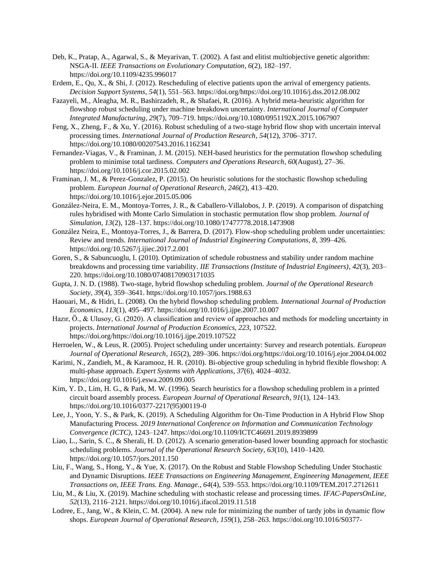- Deb, K., Pratap, A., Agarwal, S., & Meyarivan, T. (2002). A fast and elitist multiobjective genetic algorithm: NSGA-II. *IEEE Transactions on Evolutionary Computation*, *6*(2), 182–197. https://doi.org/10.1109/4235.996017
- Erdem, E., Qu, X., & Shi, J. (2012). Rescheduling of elective patients upon the arrival of emergency patients. *Decision Support Systems*, *54*(1), 551–563. https://doi.org/https://doi.org/10.1016/j.dss.2012.08.002
- Fazayeli, M., Aleagha, M. R., Bashirzadeh, R., & Shafaei, R. (2016). A hybrid meta-heuristic algorithm for flowshop robust scheduling under machine breakdown uncertainty. *International Journal of Computer Integrated Manufacturing*, *29*(7), 709–719. https://doi.org/10.1080/0951192X.2015.1067907
- Feng, X., Zheng, F., & Xu, Y. (2016). Robust scheduling of a two-stage hybrid flow shop with uncertain interval processing times. *International Journal of Production Research*, *54*(12), 3706–3717. https://doi.org/10.1080/00207543.2016.1162341
- Fernandez-Viagas, V., & Framinan, J. M. (2015). NEH-based heuristics for the permutation flowshop scheduling problem to minimise total tardiness. *Computers and Operations Research*, *60*(August), 27–36. https://doi.org/10.1016/j.cor.2015.02.002
- Framinan, J. M., & Perez-Gonzalez, P. (2015). On heuristic solutions for the stochastic flowshop scheduling problem. *European Journal of Operational Research*, *246*(2), 413–420. https://doi.org/10.1016/j.ejor.2015.05.006
- González-Neira, E. M., Montoya-Torres, J. R., & Caballero-Villalobos, J. P. (2019). A comparison of dispatching rules hybridised with Monte Carlo Simulation in stochastic permutation flow shop problem. *Journal of Simulation*, *13*(2), 128–137. https://doi.org/10.1080/17477778.2018.1473908
- González Neira, E., Montoya-Torres, J., & Barrera, D. (2017). Flow-shop scheduling problem under uncertainties: Review and trends. *International Journal of Industrial Engineering Computations*, *8*, 399–426. https://doi.org/10.5267/j.ijiec.2017.2.001
- Goren, S., & Sabuncuoglu, I. (2010). Optimization of schedule robustness and stability under random machine breakdowns and processing time variability. *IIE Transactions (Institute of Industrial Engineers)*, *42*(3), 203– 220. https://doi.org/10.1080/07408170903171035
- Gupta, J. N. D. (1988). Two-stage, hybrid flowshop scheduling problem. *Journal of the Operational Research Society*, *39*(4), 359–3641. https://doi.org/10.1057/jors.1988.63
- Haouari, M., & Hidri, L. (2008). On the hybrid flowshop scheduling problem. *International Journal of Production Economics*, *113*(1), 495–497. https://doi.org/10.1016/j.ijpe.2007.10.007
- Hazır, Ö., & Ulusoy, G. (2020). A classification and review of approaches and methods for modeling uncertainty in projects. *International Journal of Production Economics*, *223*, 107522. https://doi.org/https://doi.org/10.1016/j.ijpe.2019.107522
- Herroelen, W., & Leus, R. (2005). Project scheduling under uncertainty: Survey and research potentials. *European Journal of Operational Research*, *165*(2), 289–306. https://doi.org/https://doi.org/10.1016/j.ejor.2004.04.002
- Karimi, N., Zandieh, M., & Karamooz, H. R. (2010). Bi-objective group scheduling in hybrid flexible flowshop: A multi-phase approach. *Expert Systems with Applications*, *37*(6), 4024–4032. https://doi.org/10.1016/j.eswa.2009.09.005
- Kim, Y. D., Lim, H. G., & Park, M. W. (1996). Search heuristics for a flowshop scheduling problem in a printed circuit board assembly process. *European Journal of Operational Research*, *91*(1), 124–143. https://doi.org/10.1016/0377-2217(95)00119-0
- Lee, J., Yoon, Y. S., & Park, K. (2019). A Scheduling Algorithm for On-Time Production in A Hybrid Flow Shop Manufacturing Process. *2019 International Conference on Information and Communication Technology Convergence (ICTC)*, 1243–1247. https://doi.org/10.1109/ICTC46691.2019.8939899
- Liao, L., Sarin, S. C., & Sherali, H. D. (2012). A scenario generation-based lower bounding approach for stochastic scheduling problems. *Journal of the Operational Research Society*, *63*(10), 1410–1420. https://doi.org/10.1057/jors.2011.150
- Liu, F., Wang, S., Hong, Y., & Yue, X. (2017). On the Robust and Stable Flowshop Scheduling Under Stochastic and Dynamic Disruptions. *IEEE Transactions on Engineering Management, Engineering Management, IEEE Transactions on, IEEE Trans. Eng. Manage.*, *64*(4), 539–553. https://doi.org/10.1109/TEM.2017.2712611
- Liu, M., & Liu, X. (2019). Machine scheduling with stochastic release and processing times. *IFAC-PapersOnLine*, *52*(13), 2116–2121. https://doi.org/10.1016/j.ifacol.2019.11.518
- Lodree, E., Jang, W., & Klein, C. M. (2004). A new rule for minimizing the number of tardy jobs in dynamic flow shops. *European Journal of Operational Research*, *159*(1), 258–263. https://doi.org/10.1016/S0377-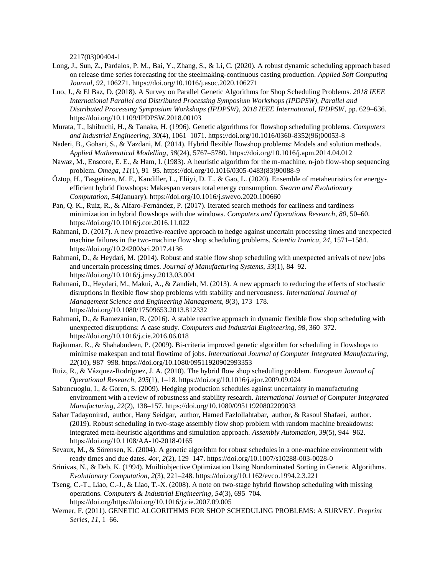2217(03)00404-1

- Long, J., Sun, Z., Pardalos, P. M., Bai, Y., Zhang, S., & Li, C. (2020). A robust dynamic scheduling approach based on release time series forecasting for the steelmaking-continuous casting production. *Applied Soft Computing Journal*, *92*, 106271. https://doi.org/10.1016/j.asoc.2020.106271
- Luo, J., & El Baz, D. (2018). A Survey on Parallel Genetic Algorithms for Shop Scheduling Problems. *2018 IEEE International Parallel and Distributed Processing Symposium Workshops (IPDPSW), Parallel and Distributed Processing Symposium Workshops (IPDPSW), 2018 IEEE International, IPDPSW*, pp. 629–636. https://doi.org/10.1109/IPDPSW.2018.00103
- Murata, T., Ishibuchi, H., & Tanaka, H. (1996). Genetic algorithms for flowshop scheduling problems. *Computers and Industrial Engineering*, *30*(4), 1061–1071. https://doi.org/10.1016/0360-8352(96)00053-8
- Naderi, B., Gohari, S., & Yazdani, M. (2014). Hybrid flexible flowshop problems: Models and solution methods. *Applied Mathematical Modelling*, *38*(24), 5767–5780. https://doi.org/10.1016/j.apm.2014.04.012
- Nawaz, M., Enscore, E. E., & Ham, I. (1983). A heuristic algorithm for the m-machine, n-job flow-shop sequencing problem. *Omega*, *11*(1), 91–95. https://doi.org/10.1016/0305-0483(83)90088-9
- Öztop, H., Tasgetiren, M. F., Kandiller, L., Eliiyi, D. T., & Gao, L. (2020). Ensemble of metaheuristics for energyefficient hybrid flowshops: Makespan versus total energy consumption. *Swarm and Evolutionary Computation*, *54*(January). https://doi.org/10.1016/j.swevo.2020.100660
- Pan, Q. K., Ruiz, R., & Alfaro-Fernández, P. (2017). Iterated search methods for earliness and tardiness minimization in hybrid flowshops with due windows. *Computers and Operations Research*, *80*, 50–60. https://doi.org/10.1016/j.cor.2016.11.022
- Rahmani, D. (2017). A new proactive-reactive approach to hedge against uncertain processing times and unexpected machine failures in the two-machine flow shop scheduling problems. *Scientia Iranica*, *24*, 1571–1584. https://doi.org/10.24200/sci.2017.4136
- Rahmani, D., & Heydari, M. (2014). Robust and stable flow shop scheduling with unexpected arrivals of new jobs and uncertain processing times. *Journal of Manufacturing Systems*, *33*(1), 84–92. https://doi.org/10.1016/j.jmsy.2013.03.004
- Rahmani, D., Heydari, M., Makui, A., & Zandieh, M. (2013). A new approach to reducing the effects of stochastic disruptions in flexible flow shop problems with stability and nervousness. *International Journal of Management Science and Engineering Management*, *8*(3), 173–178. https://doi.org/10.1080/17509653.2013.812332
- Rahmani, D., & Ramezanian, R. (2016). A stable reactive approach in dynamic flexible flow shop scheduling with unexpected disruptions: A case study. *Computers and Industrial Engineering*, *98*, 360–372. https://doi.org/10.1016/j.cie.2016.06.018
- Rajkumar, R., & Shahabudeen, P. (2009). Bi-criteria improved genetic algorithm for scheduling in flowshops to minimise makespan and total flowtime of jobs. *International Journal of Computer Integrated Manufacturing*, *22*(10), 987–998. https://doi.org/10.1080/09511920902993353
- Ruiz, R., & Vázquez-Rodríguez, J. A. (2010). The hybrid flow shop scheduling problem. *European Journal of Operational Research*, *205*(1), 1–18. https://doi.org/10.1016/j.ejor.2009.09.024
- Sabuncuoglu, I., & Goren, S. (2009). Hedging production schedules against uncertainty in manufacturing environment with a review of robustness and stability research. *International Journal of Computer Integrated Manufacturing*, *22*(2), 138–157. https://doi.org/10.1080/09511920802209033
- Sahar Tadayonirad, author, Hany Seidgar, author, Hamed Fazlollahtabar, author, & Rasoul Shafaei, author. (2019). Robust scheduling in two-stage assembly flow shop problem with random machine breakdowns: integrated meta-heuristic algorithms and simulation approach. *Assembly Automation*, *39*(5), 944–962. https://doi.org/10.1108/AA-10-2018-0165
- Sevaux, M., & Sörensen, K. (2004). A genetic algorithm for robust schedules in a one-machine environment with ready times and due dates. *4or*, *2*(2), 129–147. https://doi.org/10.1007/s10288-003-0028-0
- Srinivas, N., & Deb, K. (1994). Muiltiobjective Optimization Using Nondominated Sorting in Genetic Algorithms. *Evolutionary Computation*, *2*(3), 221–248. https://doi.org/10.1162/evco.1994.2.3.221
- Tseng, C.-T., Liao, C.-J., & Liao, T.-X. (2008). A note on two-stage hybrid flowshop scheduling with missing operations. *Computers & Industrial Engineering*, *54*(3), 695–704. https://doi.org/https://doi.org/10.1016/j.cie.2007.09.005
- Werner, F. (2011). GENETIC ALGORITHMS FOR SHOP SCHEDULING PROBLEMS: A SURVEY. *Preprint Series*, *11*, 1–66.